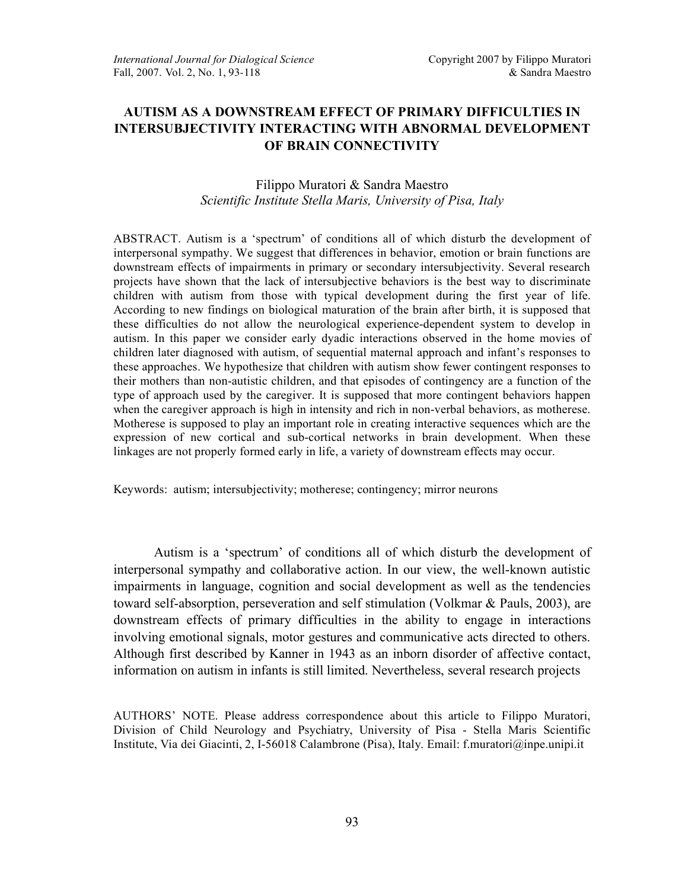# **AUTISM AS A DOWNSTREAM EFFECT OF PRIMARY DIFFICULTIES IN INTERSUBJECTIVITY INTERACTING WITH ABNORMAL DEVELOPMENT OF BRAIN CONNECTIVITY**

# Filippo Muratori & Sandra Maestro *Scientific Institute Stella Maris, University of Pisa, Italy*

ABSTRACT. Autism is a 'spectrum' of conditions all of which disturb the development of interpersonal sympathy. We suggest that differences in behavior, emotion or brain functions are downstream effects of impairments in primary or secondary intersubjectivity. Several research projects have shown that the lack of intersubjective behaviors is the best way to discriminate children with autism from those with typical development during the first year of life. According to new findings on biological maturation of the brain after birth, it is supposed that these difficulties do not allow the neurological experience-dependent system to develop in autism. In this paper we consider early dyadic interactions observed in the home movies of children later diagnosed with autism, of sequential maternal approach and infant's responses to these approaches. We hypothesize that children with autism show fewer contingent responses to their mothers than non-autistic children, and that episodes of contingency are a function of the type of approach used by the caregiver. It is supposed that more contingent behaviors happen when the caregiver approach is high in intensity and rich in non-verbal behaviors, as motherese. Motherese is supposed to play an important role in creating interactive sequences which are the expression of new cortical and sub-cortical networks in brain development. When these linkages are not properly formed early in life, a variety of downstream effects may occur.

Keywords: autism; intersubjectivity; motherese; contingency; mirror neurons

Autism is a 'spectrum' of conditions all of which disturb the development of interpersonal sympathy and collaborative action. In our view, the well-known autistic impairments in language, cognition and social development as well as the tendencies toward self-absorption, perseveration and self stimulation (Volkmar & Pauls, 2003), are downstream effects of primary difficulties in the ability to engage in interactions involving emotional signals, motor gestures and communicative acts directed to others. Although first described by Kanner in 1943 as an inborn disorder of affective contact, information on autism in infants is still limited. Nevertheless, several research projects

AUTHORS' NOTE. Please address correspondence about this article to Filippo Muratori, Division of Child Neurology and Psychiatry, University of Pisa - Stella Maris Scientific Institute, Via dei Giacinti, 2, I-56018 Calambrone (Pisa), Italy. Email: f.muratori@inpe.unipi.it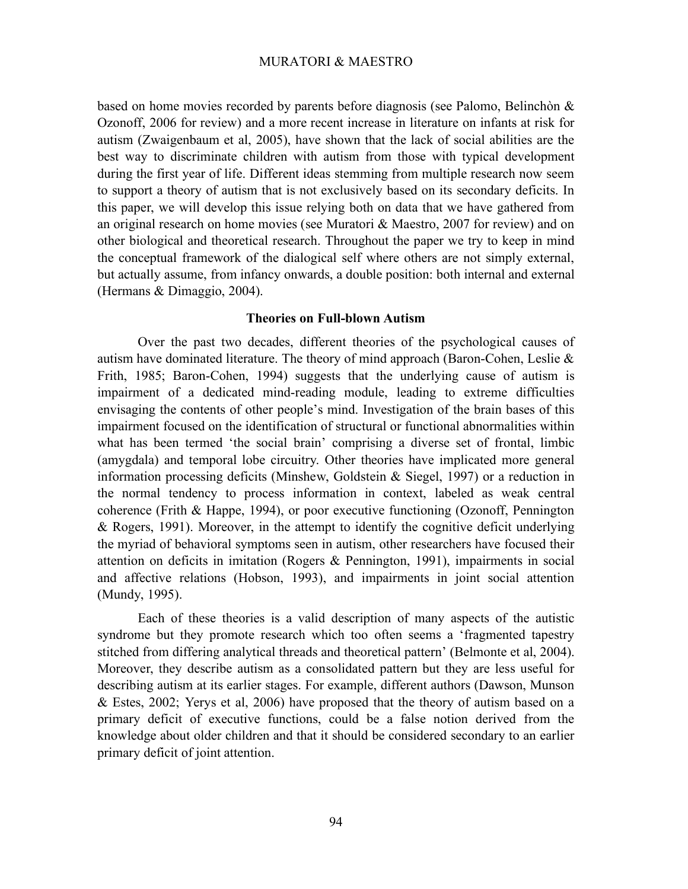based on home movies recorded by parents before diagnosis (see Palomo, Belinchòn & Ozonoff, 2006 for review) and a more recent increase in literature on infants at risk for autism (Zwaigenbaum et al, 2005), have shown that the lack of social abilities are the best way to discriminate children with autism from those with typical development during the first year of life. Different ideas stemming from multiple research now seem to support a theory of autism that is not exclusively based on its secondary deficits. In this paper, we will develop this issue relying both on data that we have gathered from an original research on home movies (see Muratori & Maestro, 2007 for review) and on other biological and theoretical research. Throughout the paper we try to keep in mind the conceptual framework of the dialogical self where others are not simply external, but actually assume, from infancy onwards, a double position: both internal and external (Hermans & Dimaggio, 2004).

## **Theories on Full-blown Autism**

Over the past two decades, different theories of the psychological causes of autism have dominated literature. The theory of mind approach (Baron-Cohen, Leslie & Frith, 1985; Baron-Cohen, 1994) suggests that the underlying cause of autism is impairment of a dedicated mind-reading module, leading to extreme difficulties envisaging the contents of other people's mind. Investigation of the brain bases of this impairment focused on the identification of structural or functional abnormalities within what has been termed 'the social brain' comprising a diverse set of frontal, limbic (amygdala) and temporal lobe circuitry. Other theories have implicated more general information processing deficits (Minshew, Goldstein & Siegel, 1997) or a reduction in the normal tendency to process information in context, labeled as weak central coherence (Frith & Happe, 1994), or poor executive functioning (Ozonoff, Pennington & Rogers, 1991). Moreover, in the attempt to identify the cognitive deficit underlying the myriad of behavioral symptoms seen in autism, other researchers have focused their attention on deficits in imitation (Rogers & Pennington, 1991), impairments in social and affective relations (Hobson, 1993), and impairments in joint social attention (Mundy, 1995).

Each of these theories is a valid description of many aspects of the autistic syndrome but they promote research which too often seems a 'fragmented tapestry stitched from differing analytical threads and theoretical pattern' (Belmonte et al, 2004). Moreover, they describe autism as a consolidated pattern but they are less useful for describing autism at its earlier stages. For example, different authors (Dawson, Munson & Estes, 2002; Yerys et al, 2006) have proposed that the theory of autism based on a primary deficit of executive functions, could be a false notion derived from the knowledge about older children and that it should be considered secondary to an earlier primary deficit of joint attention.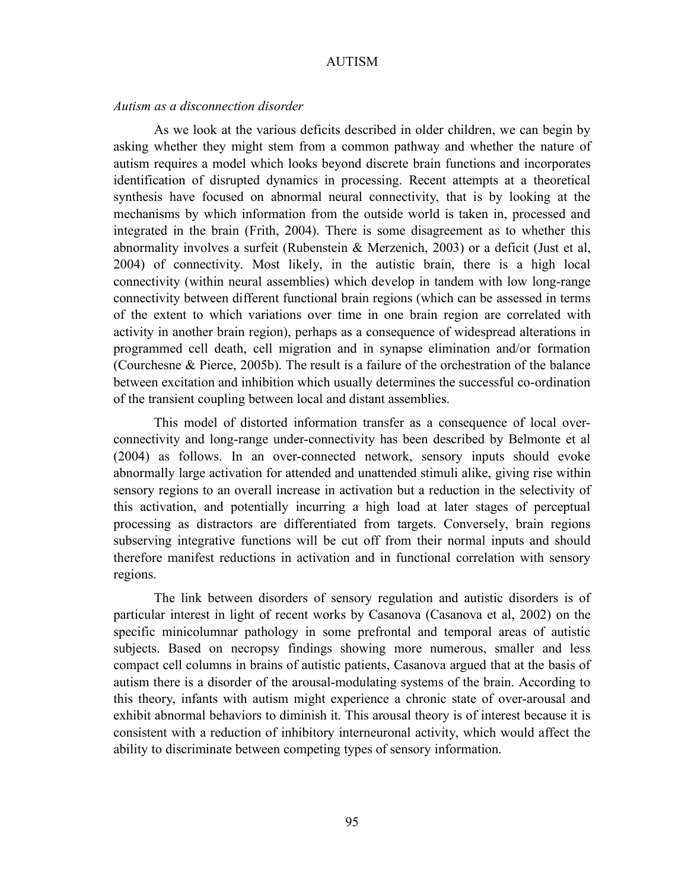#### *Autism as a disconnection disorder*

As we look at the various deficits described in older children, we can begin by asking whether they might stem from a common pathway and whether the nature of autism requires a model which looks beyond discrete brain functions and incorporates identification of disrupted dynamics in processing. Recent attempts at a theoretical synthesis have focused on abnormal neural connectivity, that is by looking at the mechanisms by which information from the outside world is taken in, processed and integrated in the brain (Frith, 2004). There is some disagreement as to whether this abnormality involves a surfeit (Rubenstein & Merzenich, 2003) or a deficit (Just et al, 2004) of connectivity. Most likely, in the autistic brain, there is a high local connectivity (within neural assemblies) which develop in tandem with low long-range connectivity between different functional brain regions (which can be assessed in terms of the extent to which variations over time in one brain region are correlated with activity in another brain region), perhaps as a consequence of widespread alterations in programmed cell death, cell migration and in synapse elimination and/or formation (Courchesne & Pierce, 2005b). The result is a failure of the orchestration of the balance between excitation and inhibition which usually determines the successful co-ordination of the transient coupling between local and distant assemblies.

This model of distorted information transfer as a consequence of local overconnectivity and long-range under-connectivity has been described by Belmonte et al (2004) as follows. In an over-connected network, sensory inputs should evoke abnormally large activation for attended and unattended stimuli alike, giving rise within sensory regions to an overall increase in activation but a reduction in the selectivity of this activation, and potentially incurring a high load at later stages of perceptual processing as distractors are differentiated from targets. Conversely, brain regions subserving integrative functions will be cut off from their normal inputs and should therefore manifest reductions in activation and in functional correlation with sensory regions.

The link between disorders of sensory regulation and autistic disorders is of particular interest in light of recent works by Casanova (Casanova et al, 2002) on the specific minicolumnar pathology in some prefrontal and temporal areas of autistic subjects. Based on necropsy findings showing more numerous, smaller and less compact cell columns in brains of autistic patients, Casanova argued that at the basis of autism there is a disorder of the arousal-modulating systems of the brain. According to this theory, infants with autism might experience a chronic state of over-arousal and exhibit abnormal behaviors to diminish it. This arousal theory is of interest because it is consistent with a reduction of inhibitory interneuronal activity, which would affect the ability to discriminate between competing types of sensory information.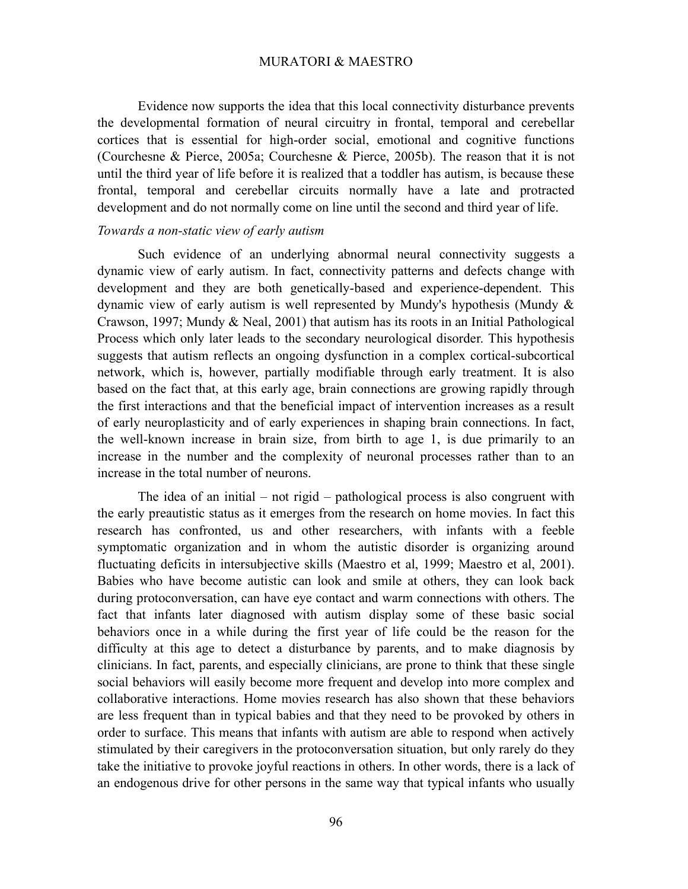Evidence now supports the idea that this local connectivity disturbance prevents the developmental formation of neural circuitry in frontal, temporal and cerebellar cortices that is essential for high-order social, emotional and cognitive functions (Courchesne & Pierce, 2005a; Courchesne & Pierce, 2005b). The reason that it is not until the third year of life before it is realized that a toddler has autism, is because these frontal, temporal and cerebellar circuits normally have a late and protracted development and do not normally come on line until the second and third year of life.

# *Towards a non-static view of early autism*

Such evidence of an underlying abnormal neural connectivity suggests a dynamic view of early autism. In fact, connectivity patterns and defects change with development and they are both genetically-based and experience-dependent. This dynamic view of early autism is well represented by Mundy's hypothesis (Mundy & Crawson, 1997; Mundy & Neal, 2001) that autism has its roots in an Initial Pathological Process which only later leads to the secondary neurological disorder. This hypothesis suggests that autism reflects an ongoing dysfunction in a complex cortical-subcortical network, which is, however, partially modifiable through early treatment. It is also based on the fact that, at this early age, brain connections are growing rapidly through the first interactions and that the beneficial impact of intervention increases as a result of early neuroplasticity and of early experiences in shaping brain connections. In fact, the well-known increase in brain size, from birth to age 1, is due primarily to an increase in the number and the complexity of neuronal processes rather than to an increase in the total number of neurons.

The idea of an initial – not rigid – pathological process is also congruent with the early preautistic status as it emerges from the research on home movies. In fact this research has confronted, us and other researchers, with infants with a feeble symptomatic organization and in whom the autistic disorder is organizing around fluctuating deficits in intersubjective skills (Maestro et al, 1999; Maestro et al, 2001). Babies who have become autistic can look and smile at others, they can look back during protoconversation, can have eye contact and warm connections with others. The fact that infants later diagnosed with autism display some of these basic social behaviors once in a while during the first year of life could be the reason for the difficulty at this age to detect a disturbance by parents, and to make diagnosis by clinicians. In fact, parents, and especially clinicians, are prone to think that these single social behaviors will easily become more frequent and develop into more complex and collaborative interactions. Home movies research has also shown that these behaviors are less frequent than in typical babies and that they need to be provoked by others in order to surface. This means that infants with autism are able to respond when actively stimulated by their caregivers in the protoconversation situation, but only rarely do they take the initiative to provoke joyful reactions in others. In other words, there is a lack of an endogenous drive for other persons in the same way that typical infants who usually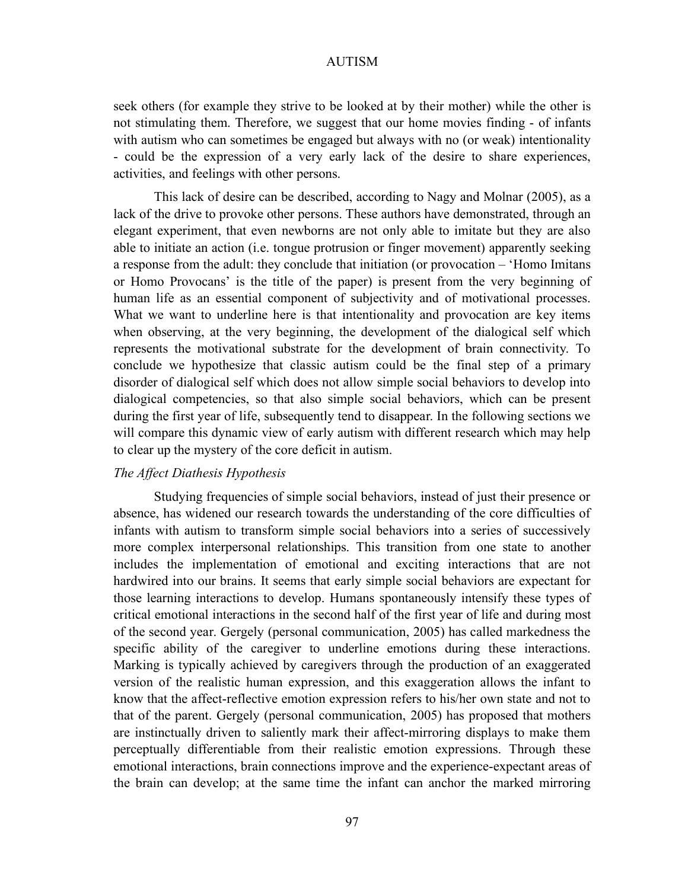seek others (for example they strive to be looked at by their mother) while the other is not stimulating them. Therefore, we suggest that our home movies finding - of infants with autism who can sometimes be engaged but always with no (or weak) intentionality - could be the expression of a very early lack of the desire to share experiences, activities, and feelings with other persons.

This lack of desire can be described, according to Nagy and Molnar (2005), as a lack of the drive to provoke other persons. These authors have demonstrated, through an elegant experiment, that even newborns are not only able to imitate but they are also able to initiate an action (i.e. tongue protrusion or finger movement) apparently seeking a response from the adult: they conclude that initiation (or provocation – 'Homo Imitans or Homo Provocans' is the title of the paper) is present from the very beginning of human life as an essential component of subjectivity and of motivational processes. What we want to underline here is that intentionality and provocation are key items when observing, at the very beginning, the development of the dialogical self which represents the motivational substrate for the development of brain connectivity. To conclude we hypothesize that classic autism could be the final step of a primary disorder of dialogical self which does not allow simple social behaviors to develop into dialogical competencies, so that also simple social behaviors, which can be present during the first year of life, subsequently tend to disappear. In the following sections we will compare this dynamic view of early autism with different research which may help to clear up the mystery of the core deficit in autism.

## *The Affect Diathesis Hypothesis*

Studying frequencies of simple social behaviors, instead of just their presence or absence, has widened our research towards the understanding of the core difficulties of infants with autism to transform simple social behaviors into a series of successively more complex interpersonal relationships. This transition from one state to another includes the implementation of emotional and exciting interactions that are not hardwired into our brains. It seems that early simple social behaviors are expectant for those learning interactions to develop. Humans spontaneously intensify these types of critical emotional interactions in the second half of the first year of life and during most of the second year. Gergely (personal communication, 2005) has called markedness the specific ability of the caregiver to underline emotions during these interactions. Marking is typically achieved by caregivers through the production of an exaggerated version of the realistic human expression, and this exaggeration allows the infant to know that the affect-reflective emotion expression refers to his/her own state and not to that of the parent. Gergely (personal communication, 2005) has proposed that mothers are instinctually driven to saliently mark their affect-mirroring displays to make them perceptually differentiable from their realistic emotion expressions. Through these emotional interactions, brain connections improve and the experience-expectant areas of the brain can develop; at the same time the infant can anchor the marked mirroring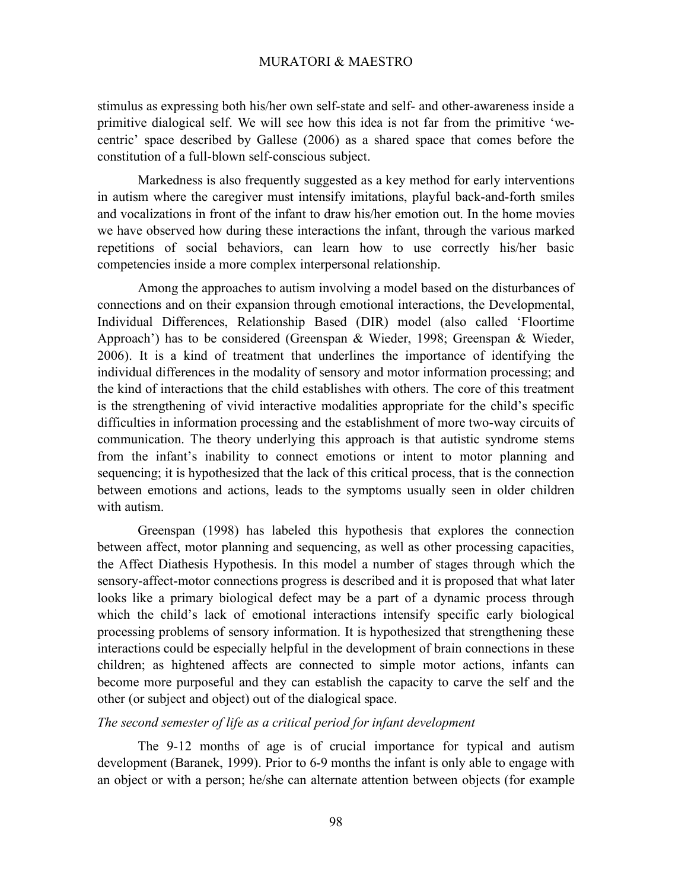stimulus as expressing both his/her own self-state and self- and other-awareness inside a primitive dialogical self. We will see how this idea is not far from the primitive 'wecentric' space described by Gallese (2006) as a shared space that comes before the constitution of a full-blown self-conscious subject.

Markedness is also frequently suggested as a key method for early interventions in autism where the caregiver must intensify imitations, playful back-and-forth smiles and vocalizations in front of the infant to draw his/her emotion out. In the home movies we have observed how during these interactions the infant, through the various marked repetitions of social behaviors, can learn how to use correctly his/her basic competencies inside a more complex interpersonal relationship.

Among the approaches to autism involving a model based on the disturbances of connections and on their expansion through emotional interactions, the Developmental, Individual Differences, Relationship Based (DIR) model (also called 'Floortime Approach') has to be considered (Greenspan & Wieder, 1998; Greenspan & Wieder, 2006). It is a kind of treatment that underlines the importance of identifying the individual differences in the modality of sensory and motor information processing; and the kind of interactions that the child establishes with others. The core of this treatment is the strengthening of vivid interactive modalities appropriate for the child's specific difficulties in information processing and the establishment of more two-way circuits of communication. The theory underlying this approach is that autistic syndrome stems from the infant's inability to connect emotions or intent to motor planning and sequencing; it is hypothesized that the lack of this critical process, that is the connection between emotions and actions, leads to the symptoms usually seen in older children with autism.

Greenspan (1998) has labeled this hypothesis that explores the connection between affect, motor planning and sequencing, as well as other processing capacities, the Affect Diathesis Hypothesis. In this model a number of stages through which the sensory-affect-motor connections progress is described and it is proposed that what later looks like a primary biological defect may be a part of a dynamic process through which the child's lack of emotional interactions intensify specific early biological processing problems of sensory information. It is hypothesized that strengthening these interactions could be especially helpful in the development of brain connections in these children; as hightened affects are connected to simple motor actions, infants can become more purposeful and they can establish the capacity to carve the self and the other (or subject and object) out of the dialogical space.

# *The second semester of life as a critical period for infant development*

The 9-12 months of age is of crucial importance for typical and autism development (Baranek, 1999). Prior to 6-9 months the infant is only able to engage with an object or with a person; he/she can alternate attention between objects (for example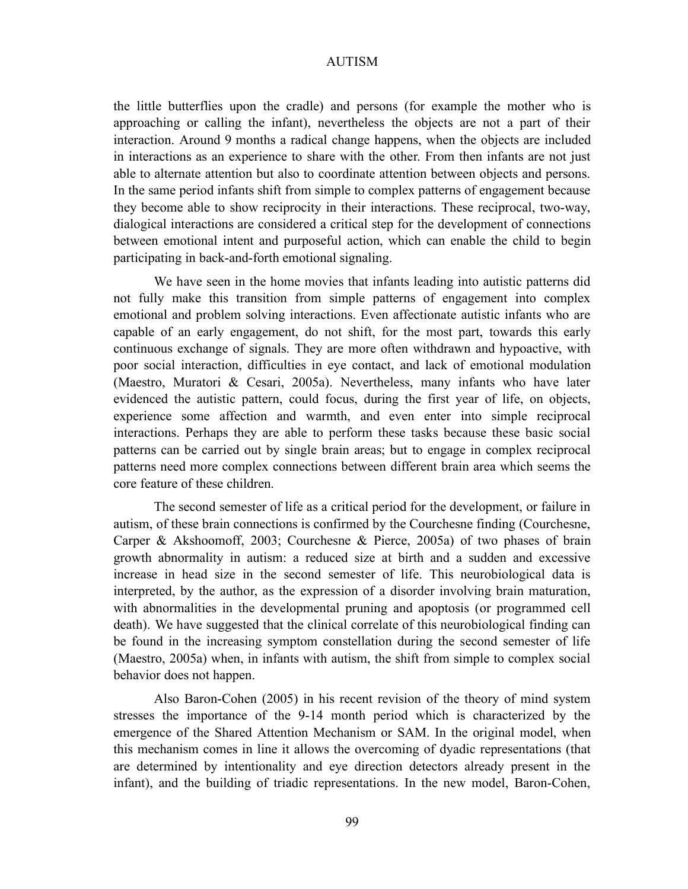the little butterflies upon the cradle) and persons (for example the mother who is approaching or calling the infant), nevertheless the objects are not a part of their interaction. Around 9 months a radical change happens, when the objects are included in interactions as an experience to share with the other. From then infants are not just able to alternate attention but also to coordinate attention between objects and persons. In the same period infants shift from simple to complex patterns of engagement because they become able to show reciprocity in their interactions. These reciprocal, two-way, dialogical interactions are considered a critical step for the development of connections between emotional intent and purposeful action, which can enable the child to begin participating in back-and-forth emotional signaling.

We have seen in the home movies that infants leading into autistic patterns did not fully make this transition from simple patterns of engagement into complex emotional and problem solving interactions. Even affectionate autistic infants who are capable of an early engagement, do not shift, for the most part, towards this early continuous exchange of signals. They are more often withdrawn and hypoactive, with poor social interaction, difficulties in eye contact, and lack of emotional modulation (Maestro, Muratori & Cesari, 2005a). Nevertheless, many infants who have later evidenced the autistic pattern, could focus, during the first year of life, on objects, experience some affection and warmth, and even enter into simple reciprocal interactions. Perhaps they are able to perform these tasks because these basic social patterns can be carried out by single brain areas; but to engage in complex reciprocal patterns need more complex connections between different brain area which seems the core feature of these children.

The second semester of life as a critical period for the development, or failure in autism, of these brain connections is confirmed by the Courchesne finding (Courchesne, Carper & Akshoomoff, 2003; Courchesne & Pierce, 2005a) of two phases of brain growth abnormality in autism: a reduced size at birth and a sudden and excessive increase in head size in the second semester of life. This neurobiological data is interpreted, by the author, as the expression of a disorder involving brain maturation, with abnormalities in the developmental pruning and apoptosis (or programmed cell death). We have suggested that the clinical correlate of this neurobiological finding can be found in the increasing symptom constellation during the second semester of life (Maestro, 2005a) when, in infants with autism, the shift from simple to complex social behavior does not happen.

Also Baron-Cohen (2005) in his recent revision of the theory of mind system stresses the importance of the 9-14 month period which is characterized by the emergence of the Shared Attention Mechanism or SAM. In the original model, when this mechanism comes in line it allows the overcoming of dyadic representations (that are determined by intentionality and eye direction detectors already present in the infant), and the building of triadic representations. In the new model, Baron-Cohen,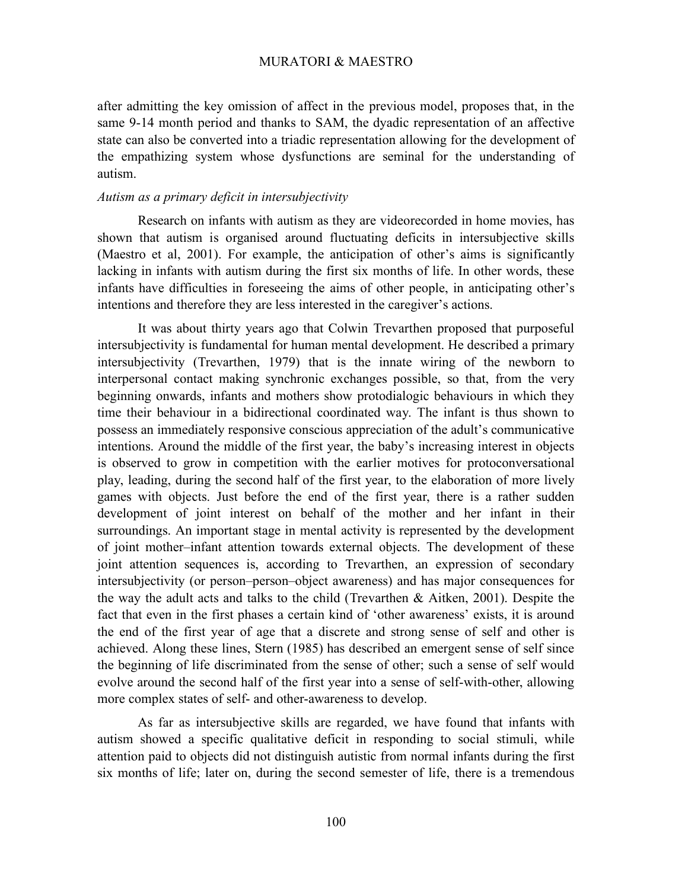after admitting the key omission of affect in the previous model, proposes that, in the same 9-14 month period and thanks to SAM, the dyadic representation of an affective state can also be converted into a triadic representation allowing for the development of the empathizing system whose dysfunctions are seminal for the understanding of autism.

## *Autism as a primary deficit in intersubjectivity*

Research on infants with autism as they are videorecorded in home movies, has shown that autism is organised around fluctuating deficits in intersubjective skills (Maestro et al, 2001). For example, the anticipation of other's aims is significantly lacking in infants with autism during the first six months of life. In other words, these infants have difficulties in foreseeing the aims of other people, in anticipating other's intentions and therefore they are less interested in the caregiver's actions.

It was about thirty years ago that Colwin Trevarthen proposed that purposeful intersubjectivity is fundamental for human mental development. He described a primary intersubjectivity (Trevarthen, 1979) that is the innate wiring of the newborn to interpersonal contact making synchronic exchanges possible, so that, from the very beginning onwards, infants and mothers show protodialogic behaviours in which they time their behaviour in a bidirectional coordinated way. The infant is thus shown to possess an immediately responsive conscious appreciation of the adult's communicative intentions. Around the middle of the first year, the baby's increasing interest in objects is observed to grow in competition with the earlier motives for protoconversational play, leading, during the second half of the first year, to the elaboration of more lively games with objects. Just before the end of the first year, there is a rather sudden development of joint interest on behalf of the mother and her infant in their surroundings. An important stage in mental activity is represented by the development of joint mother–infant attention towards external objects. The development of these joint attention sequences is, according to Trevarthen, an expression of secondary intersubjectivity (or person–person–object awareness) and has major consequences for the way the adult acts and talks to the child (Trevarthen & Aitken, 2001). Despite the fact that even in the first phases a certain kind of 'other awareness' exists, it is around the end of the first year of age that a discrete and strong sense of self and other is achieved. Along these lines, Stern (1985) has described an emergent sense of self since the beginning of life discriminated from the sense of other; such a sense of self would evolve around the second half of the first year into a sense of self-with-other, allowing more complex states of self- and other-awareness to develop.

As far as intersubjective skills are regarded, we have found that infants with autism showed a specific qualitative deficit in responding to social stimuli, while attention paid to objects did not distinguish autistic from normal infants during the first six months of life; later on, during the second semester of life, there is a tremendous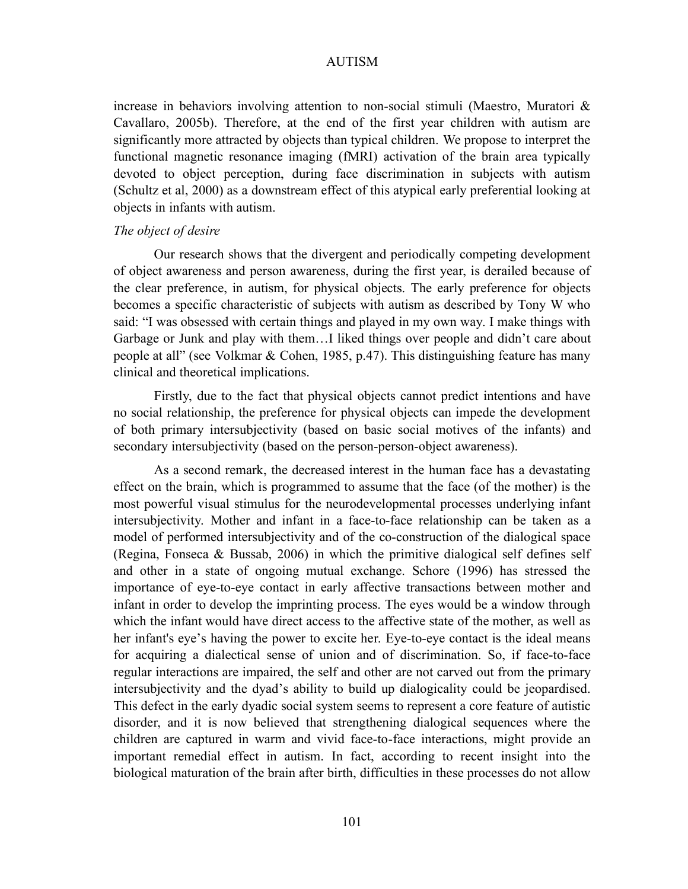increase in behaviors involving attention to non-social stimuli (Maestro, Muratori & Cavallaro, 2005b). Therefore, at the end of the first year children with autism are significantly more attracted by objects than typical children. We propose to interpret the functional magnetic resonance imaging (fMRI) activation of the brain area typically devoted to object perception, during face discrimination in subjects with autism (Schultz et al, 2000) as a downstream effect of this atypical early preferential looking at objects in infants with autism.

### *The object of desire*

Our research shows that the divergent and periodically competing development of object awareness and person awareness, during the first year, is derailed because of the clear preference, in autism, for physical objects. The early preference for objects becomes a specific characteristic of subjects with autism as described by Tony W who said: "I was obsessed with certain things and played in my own way. I make things with Garbage or Junk and play with them…I liked things over people and didn't care about people at all" (see Volkmar & Cohen, 1985, p.47). This distinguishing feature has many clinical and theoretical implications.

Firstly, due to the fact that physical objects cannot predict intentions and have no social relationship, the preference for physical objects can impede the development of both primary intersubjectivity (based on basic social motives of the infants) and secondary intersubjectivity (based on the person-person-object awareness).

As a second remark, the decreased interest in the human face has a devastating effect on the brain, which is programmed to assume that the face (of the mother) is the most powerful visual stimulus for the neurodevelopmental processes underlying infant intersubjectivity. Mother and infant in a face-to-face relationship can be taken as a model of performed intersubjectivity and of the co-construction of the dialogical space (Regina, Fonseca & Bussab, 2006) in which the primitive dialogical self defines self and other in a state of ongoing mutual exchange. Schore (1996) has stressed the importance of eye-to-eye contact in early affective transactions between mother and infant in order to develop the imprinting process. The eyes would be a window through which the infant would have direct access to the affective state of the mother, as well as her infant's eye's having the power to excite her. Eye-to-eye contact is the ideal means for acquiring a dialectical sense of union and of discrimination. So, if face-to-face regular interactions are impaired, the self and other are not carved out from the primary intersubjectivity and the dyad's ability to build up dialogicality could be jeopardised. This defect in the early dyadic social system seems to represent a core feature of autistic disorder, and it is now believed that strengthening dialogical sequences where the children are captured in warm and vivid face-to-face interactions, might provide an important remedial effect in autism. In fact, according to recent insight into the biological maturation of the brain after birth, difficulties in these processes do not allow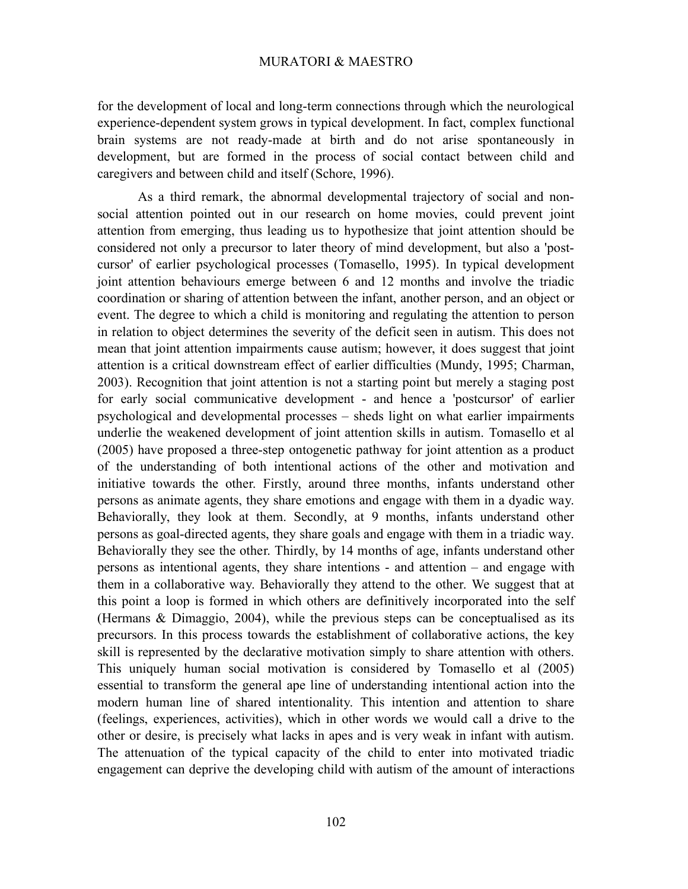for the development of local and long-term connections through which the neurological experience-dependent system grows in typical development. In fact, complex functional brain systems are not ready-made at birth and do not arise spontaneously in development, but are formed in the process of social contact between child and caregivers and between child and itself (Schore, 1996).

As a third remark, the abnormal developmental trajectory of social and nonsocial attention pointed out in our research on home movies, could prevent joint attention from emerging, thus leading us to hypothesize that joint attention should be considered not only a precursor to later theory of mind development, but also a 'postcursor' of earlier psychological processes (Tomasello, 1995). In typical development joint attention behaviours emerge between 6 and 12 months and involve the triadic coordination or sharing of attention between the infant, another person, and an object or event. The degree to which a child is monitoring and regulating the attention to person in relation to object determines the severity of the deficit seen in autism. This does not mean that joint attention impairments cause autism; however, it does suggest that joint attention is a critical downstream effect of earlier difficulties (Mundy, 1995; Charman, 2003). Recognition that joint attention is not a starting point but merely a staging post for early social communicative development - and hence a 'postcursor' of earlier psychological and developmental processes – sheds light on what earlier impairments underlie the weakened development of joint attention skills in autism. Tomasello et al (2005) have proposed a three-step ontogenetic pathway for joint attention as a product of the understanding of both intentional actions of the other and motivation and initiative towards the other. Firstly, around three months, infants understand other persons as animate agents, they share emotions and engage with them in a dyadic way. Behaviorally, they look at them. Secondly, at 9 months, infants understand other persons as goal-directed agents, they share goals and engage with them in a triadic way. Behaviorally they see the other. Thirdly, by 14 months of age, infants understand other persons as intentional agents, they share intentions - and attention – and engage with them in a collaborative way. Behaviorally they attend to the other. We suggest that at this point a loop is formed in which others are definitively incorporated into the self (Hermans & Dimaggio, 2004), while the previous steps can be conceptualised as its precursors. In this process towards the establishment of collaborative actions, the key skill is represented by the declarative motivation simply to share attention with others. This uniquely human social motivation is considered by Tomasello et al (2005) essential to transform the general ape line of understanding intentional action into the modern human line of shared intentionality. This intention and attention to share (feelings, experiences, activities), which in other words we would call a drive to the other or desire, is precisely what lacks in apes and is very weak in infant with autism. The attenuation of the typical capacity of the child to enter into motivated triadic engagement can deprive the developing child with autism of the amount of interactions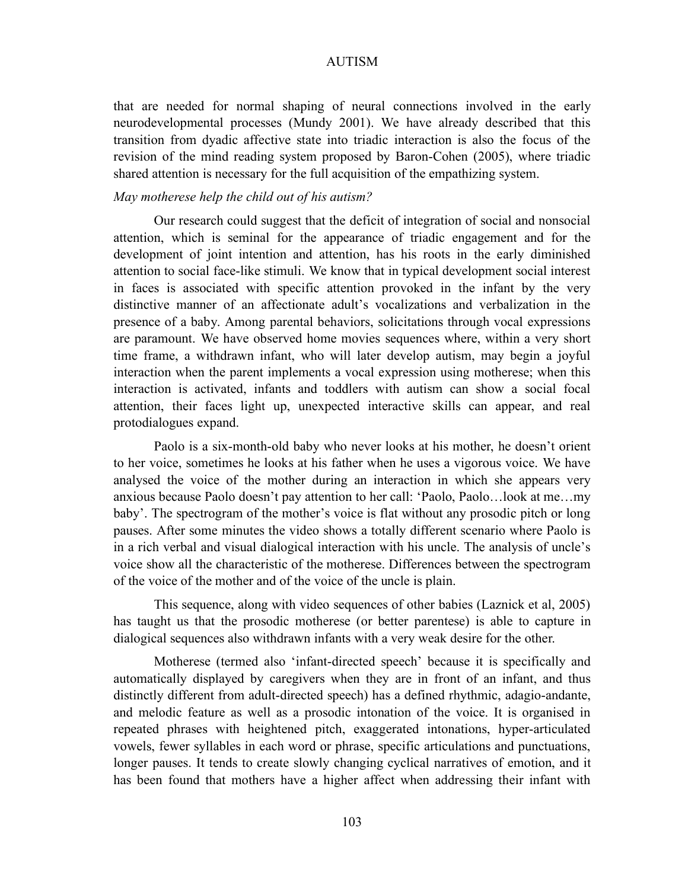that are needed for normal shaping of neural connections involved in the early neurodevelopmental processes (Mundy 2001). We have already described that this transition from dyadic affective state into triadic interaction is also the focus of the revision of the mind reading system proposed by Baron-Cohen (2005), where triadic shared attention is necessary for the full acquisition of the empathizing system.

## *May motherese help the child out of his autism?*

Our research could suggest that the deficit of integration of social and nonsocial attention, which is seminal for the appearance of triadic engagement and for the development of joint intention and attention, has his roots in the early diminished attention to social face-like stimuli. We know that in typical development social interest in faces is associated with specific attention provoked in the infant by the very distinctive manner of an affectionate adult's vocalizations and verbalization in the presence of a baby. Among parental behaviors, solicitations through vocal expressions are paramount. We have observed home movies sequences where, within a very short time frame, a withdrawn infant, who will later develop autism, may begin a joyful interaction when the parent implements a vocal expression using motherese; when this interaction is activated, infants and toddlers with autism can show a social focal attention, their faces light up, unexpected interactive skills can appear, and real protodialogues expand.

Paolo is a six-month-old baby who never looks at his mother, he doesn't orient to her voice, sometimes he looks at his father when he uses a vigorous voice. We have analysed the voice of the mother during an interaction in which she appears very anxious because Paolo doesn't pay attention to her call: 'Paolo, Paolo…look at me…my baby'. The spectrogram of the mother's voice is flat without any prosodic pitch or long pauses. After some minutes the video shows a totally different scenario where Paolo is in a rich verbal and visual dialogical interaction with his uncle. The analysis of uncle's voice show all the characteristic of the motherese. Differences between the spectrogram of the voice of the mother and of the voice of the uncle is plain.

This sequence, along with video sequences of other babies (Laznick et al, 2005) has taught us that the prosodic motherese (or better parentese) is able to capture in dialogical sequences also withdrawn infants with a very weak desire for the other.

Motherese (termed also 'infant-directed speech' because it is specifically and automatically displayed by caregivers when they are in front of an infant, and thus distinctly different from adult-directed speech) has a defined rhythmic, adagio-andante, and melodic feature as well as a prosodic intonation of the voice. It is organised in repeated phrases with heightened pitch, exaggerated intonations, hyper-articulated vowels, fewer syllables in each word or phrase, specific articulations and punctuations, longer pauses. It tends to create slowly changing cyclical narratives of emotion, and it has been found that mothers have a higher affect when addressing their infant with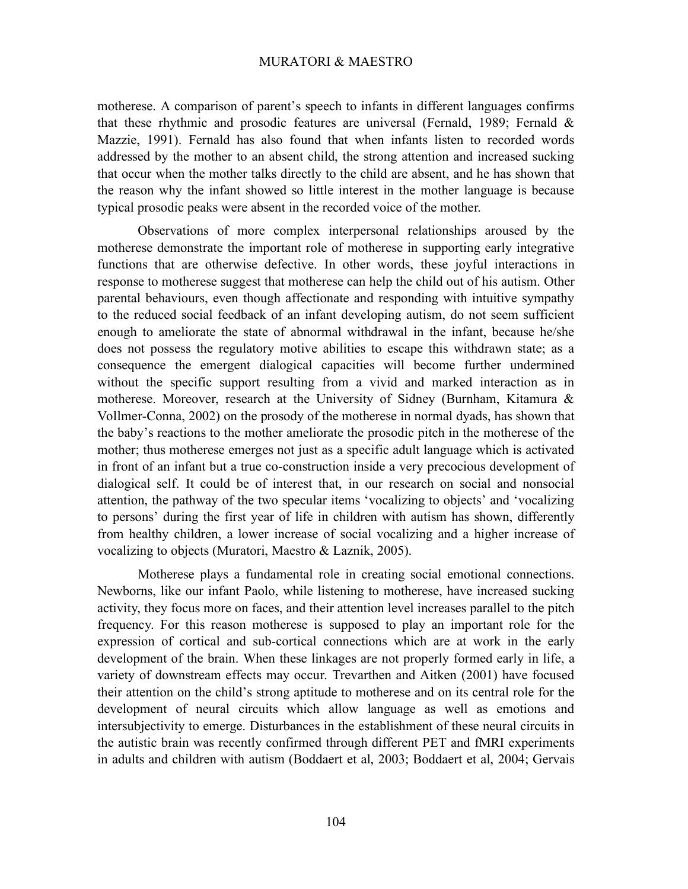motherese. A comparison of parent's speech to infants in different languages confirms that these rhythmic and prosodic features are universal (Fernald, 1989; Fernald & Mazzie, 1991). Fernald has also found that when infants listen to recorded words addressed by the mother to an absent child, the strong attention and increased sucking that occur when the mother talks directly to the child are absent, and he has shown that the reason why the infant showed so little interest in the mother language is because typical prosodic peaks were absent in the recorded voice of the mother.

Observations of more complex interpersonal relationships aroused by the motherese demonstrate the important role of motherese in supporting early integrative functions that are otherwise defective. In other words, these joyful interactions in response to motherese suggest that motherese can help the child out of his autism. Other parental behaviours, even though affectionate and responding with intuitive sympathy to the reduced social feedback of an infant developing autism, do not seem sufficient enough to ameliorate the state of abnormal withdrawal in the infant, because he/she does not possess the regulatory motive abilities to escape this withdrawn state; as a consequence the emergent dialogical capacities will become further undermined without the specific support resulting from a vivid and marked interaction as in motherese. Moreover, research at the University of Sidney (Burnham, Kitamura & Vollmer-Conna, 2002) on the prosody of the motherese in normal dyads, has shown that the baby's reactions to the mother ameliorate the prosodic pitch in the motherese of the mother; thus motherese emerges not just as a specific adult language which is activated in front of an infant but a true co-construction inside a very precocious development of dialogical self. It could be of interest that, in our research on social and nonsocial attention, the pathway of the two specular items 'vocalizing to objects' and 'vocalizing to persons' during the first year of life in children with autism has shown, differently from healthy children, a lower increase of social vocalizing and a higher increase of vocalizing to objects (Muratori, Maestro & Laznik, 2005).

Motherese plays a fundamental role in creating social emotional connections. Newborns, like our infant Paolo, while listening to motherese, have increased sucking activity, they focus more on faces, and their attention level increases parallel to the pitch frequency. For this reason motherese is supposed to play an important role for the expression of cortical and sub-cortical connections which are at work in the early development of the brain. When these linkages are not properly formed early in life, a variety of downstream effects may occur. Trevarthen and Aitken (2001) have focused their attention on the child's strong aptitude to motherese and on its central role for the development of neural circuits which allow language as well as emotions and intersubjectivity to emerge. Disturbances in the establishment of these neural circuits in the autistic brain was recently confirmed through different PET and fMRI experiments in adults and children with autism (Boddaert et al, 2003; Boddaert et al, 2004; Gervais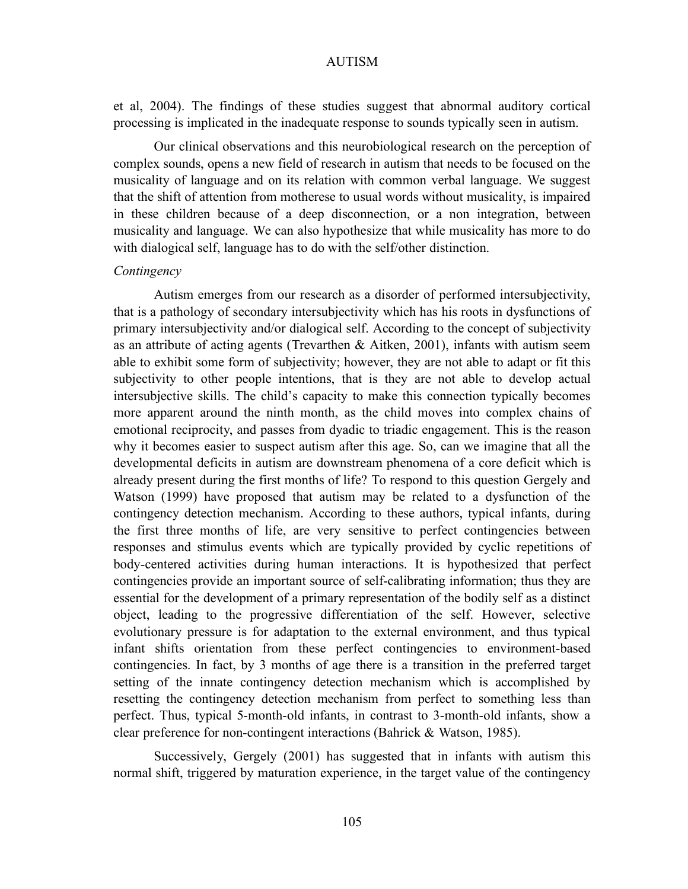et al, 2004). The findings of these studies suggest that abnormal auditory cortical processing is implicated in the inadequate response to sounds typically seen in autism.

Our clinical observations and this neurobiological research on the perception of complex sounds, opens a new field of research in autism that needs to be focused on the musicality of language and on its relation with common verbal language. We suggest that the shift of attention from motherese to usual words without musicality, is impaired in these children because of a deep disconnection, or a non integration, between musicality and language. We can also hypothesize that while musicality has more to do with dialogical self, language has to do with the self/other distinction.

## *Contingency*

Autism emerges from our research as a disorder of performed intersubjectivity, that is a pathology of secondary intersubjectivity which has his roots in dysfunctions of primary intersubjectivity and/or dialogical self. According to the concept of subjectivity as an attribute of acting agents (Trevarthen & Aitken, 2001), infants with autism seem able to exhibit some form of subjectivity; however, they are not able to adapt or fit this subjectivity to other people intentions, that is they are not able to develop actual intersubjective skills. The child's capacity to make this connection typically becomes more apparent around the ninth month, as the child moves into complex chains of emotional reciprocity, and passes from dyadic to triadic engagement. This is the reason why it becomes easier to suspect autism after this age. So, can we imagine that all the developmental deficits in autism are downstream phenomena of a core deficit which is already present during the first months of life? To respond to this question Gergely and Watson (1999) have proposed that autism may be related to a dysfunction of the contingency detection mechanism. According to these authors, typical infants, during the first three months of life, are very sensitive to perfect contingencies between responses and stimulus events which are typically provided by cyclic repetitions of body-centered activities during human interactions. It is hypothesized that perfect contingencies provide an important source of self-calibrating information; thus they are essential for the development of a primary representation of the bodily self as a distinct object, leading to the progressive differentiation of the self. However, selective evolutionary pressure is for adaptation to the external environment, and thus typical infant shifts orientation from these perfect contingencies to environment-based contingencies. In fact, by 3 months of age there is a transition in the preferred target setting of the innate contingency detection mechanism which is accomplished by resetting the contingency detection mechanism from perfect to something less than perfect. Thus, typical 5-month-old infants, in contrast to 3-month-old infants, show a clear preference for non-contingent interactions (Bahrick & Watson, 1985).

Successively, Gergely (2001) has suggested that in infants with autism this normal shift, triggered by maturation experience, in the target value of the contingency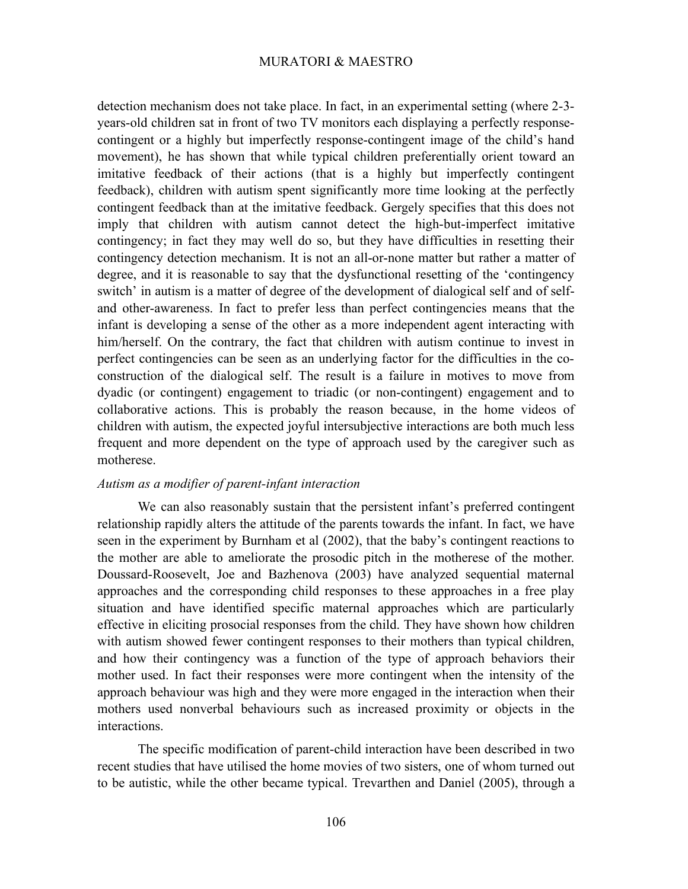detection mechanism does not take place. In fact, in an experimental setting (where 2-3 years-old children sat in front of two TV monitors each displaying a perfectly responsecontingent or a highly but imperfectly response-contingent image of the child's hand movement), he has shown that while typical children preferentially orient toward an imitative feedback of their actions (that is a highly but imperfectly contingent feedback), children with autism spent significantly more time looking at the perfectly contingent feedback than at the imitative feedback. Gergely specifies that this does not imply that children with autism cannot detect the high-but-imperfect imitative contingency; in fact they may well do so, but they have difficulties in resetting their contingency detection mechanism. It is not an all-or-none matter but rather a matter of degree, and it is reasonable to say that the dysfunctional resetting of the 'contingency switch' in autism is a matter of degree of the development of dialogical self and of selfand other-awareness. In fact to prefer less than perfect contingencies means that the infant is developing a sense of the other as a more independent agent interacting with him/herself. On the contrary, the fact that children with autism continue to invest in perfect contingencies can be seen as an underlying factor for the difficulties in the coconstruction of the dialogical self. The result is a failure in motives to move from dyadic (or contingent) engagement to triadic (or non-contingent) engagement and to collaborative actions. This is probably the reason because, in the home videos of children with autism, the expected joyful intersubjective interactions are both much less frequent and more dependent on the type of approach used by the caregiver such as motherese.

# *Autism as a modifier of parent-infant interaction*

We can also reasonably sustain that the persistent infant's preferred contingent relationship rapidly alters the attitude of the parents towards the infant. In fact, we have seen in the experiment by Burnham et al (2002), that the baby's contingent reactions to the mother are able to ameliorate the prosodic pitch in the motherese of the mother. Doussard-Roosevelt, Joe and Bazhenova (2003) have analyzed sequential maternal approaches and the corresponding child responses to these approaches in a free play situation and have identified specific maternal approaches which are particularly effective in eliciting prosocial responses from the child. They have shown how children with autism showed fewer contingent responses to their mothers than typical children, and how their contingency was a function of the type of approach behaviors their mother used. In fact their responses were more contingent when the intensity of the approach behaviour was high and they were more engaged in the interaction when their mothers used nonverbal behaviours such as increased proximity or objects in the interactions.

The specific modification of parent-child interaction have been described in two recent studies that have utilised the home movies of two sisters, one of whom turned out to be autistic, while the other became typical. Trevarthen and Daniel (2005), through a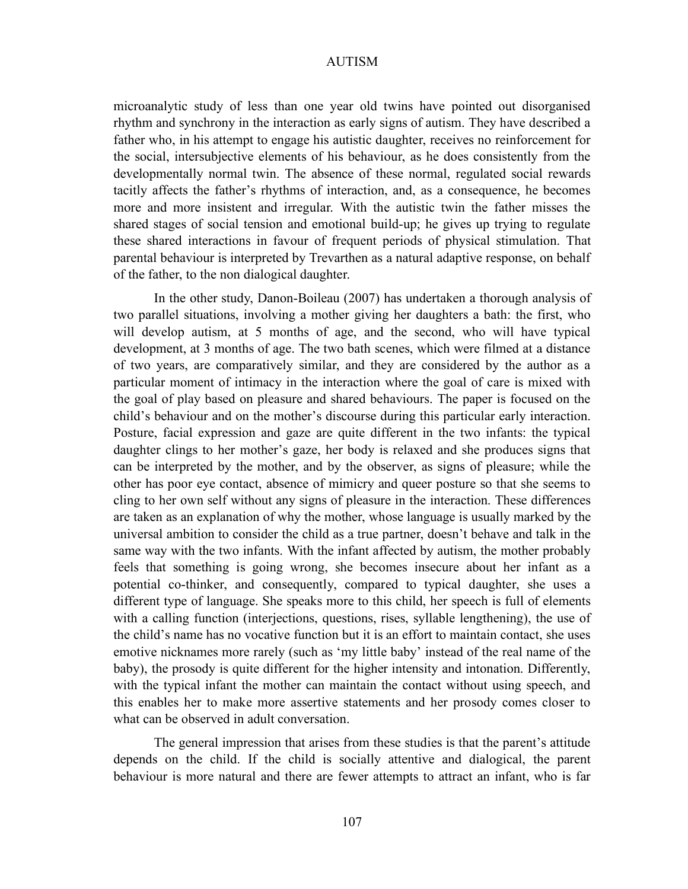microanalytic study of less than one year old twins have pointed out disorganised rhythm and synchrony in the interaction as early signs of autism. They have described a father who, in his attempt to engage his autistic daughter, receives no reinforcement for the social, intersubjective elements of his behaviour, as he does consistently from the developmentally normal twin. The absence of these normal, regulated social rewards tacitly affects the father's rhythms of interaction, and, as a consequence, he becomes more and more insistent and irregular. With the autistic twin the father misses the shared stages of social tension and emotional build-up; he gives up trying to regulate these shared interactions in favour of frequent periods of physical stimulation. That parental behaviour is interpreted by Trevarthen as a natural adaptive response, on behalf of the father, to the non dialogical daughter.

In the other study, Danon-Boileau (2007) has undertaken a thorough analysis of two parallel situations, involving a mother giving her daughters a bath: the first, who will develop autism, at 5 months of age, and the second, who will have typical development, at 3 months of age. The two bath scenes, which were filmed at a distance of two years, are comparatively similar, and they are considered by the author as a particular moment of intimacy in the interaction where the goal of care is mixed with the goal of play based on pleasure and shared behaviours. The paper is focused on the child's behaviour and on the mother's discourse during this particular early interaction. Posture, facial expression and gaze are quite different in the two infants: the typical daughter clings to her mother's gaze, her body is relaxed and she produces signs that can be interpreted by the mother, and by the observer, as signs of pleasure; while the other has poor eye contact, absence of mimicry and queer posture so that she seems to cling to her own self without any signs of pleasure in the interaction. These differences are taken as an explanation of why the mother, whose language is usually marked by the universal ambition to consider the child as a true partner, doesn't behave and talk in the same way with the two infants. With the infant affected by autism, the mother probably feels that something is going wrong, she becomes insecure about her infant as a potential co-thinker, and consequently, compared to typical daughter, she uses a different type of language. She speaks more to this child, her speech is full of elements with a calling function (interjections, questions, rises, syllable lengthening), the use of the child's name has no vocative function but it is an effort to maintain contact, she uses emotive nicknames more rarely (such as 'my little baby' instead of the real name of the baby), the prosody is quite different for the higher intensity and intonation. Differently, with the typical infant the mother can maintain the contact without using speech, and this enables her to make more assertive statements and her prosody comes closer to what can be observed in adult conversation.

The general impression that arises from these studies is that the parent's attitude depends on the child. If the child is socially attentive and dialogical, the parent behaviour is more natural and there are fewer attempts to attract an infant, who is far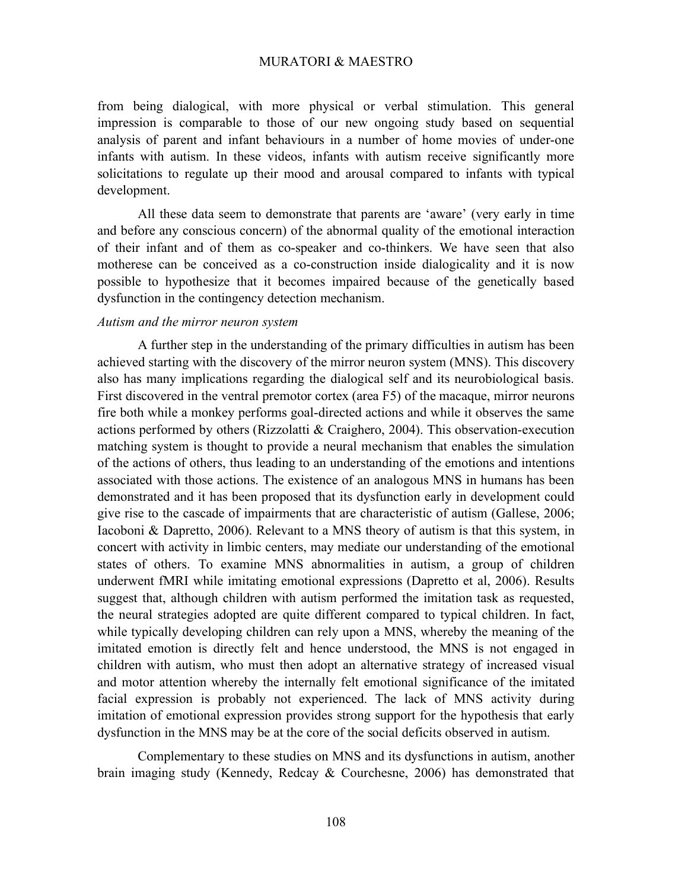from being dialogical, with more physical or verbal stimulation. This general impression is comparable to those of our new ongoing study based on sequential analysis of parent and infant behaviours in a number of home movies of under-one infants with autism. In these videos, infants with autism receive significantly more solicitations to regulate up their mood and arousal compared to infants with typical development.

All these data seem to demonstrate that parents are 'aware' (very early in time and before any conscious concern) of the abnormal quality of the emotional interaction of their infant and of them as co-speaker and co-thinkers. We have seen that also motherese can be conceived as a co-construction inside dialogicality and it is now possible to hypothesize that it becomes impaired because of the genetically based dysfunction in the contingency detection mechanism.

# *Autism and the mirror neuron system*

A further step in the understanding of the primary difficulties in autism has been achieved starting with the discovery of the mirror neuron system (MNS). This discovery also has many implications regarding the dialogical self and its neurobiological basis. First discovered in the ventral premotor cortex (area F5) of the macaque, mirror neurons fire both while a monkey performs goal-directed actions and while it observes the same actions performed by others (Rizzolatti & Craighero, 2004). This observation-execution matching system is thought to provide a neural mechanism that enables the simulation of the actions of others, thus leading to an understanding of the emotions and intentions associated with those actions. The existence of an analogous MNS in humans has been demonstrated and it has been proposed that its dysfunction early in development could give rise to the cascade of impairments that are characteristic of autism (Gallese, 2006; Iacoboni & Dapretto, 2006). Relevant to a MNS theory of autism is that this system, in concert with activity in limbic centers, may mediate our understanding of the emotional states of others. To examine MNS abnormalities in autism, a group of children underwent fMRI while imitating emotional expressions (Dapretto et al, 2006). Results suggest that, although children with autism performed the imitation task as requested, the neural strategies adopted are quite different compared to typical children. In fact, while typically developing children can rely upon a MNS, whereby the meaning of the imitated emotion is directly felt and hence understood, the MNS is not engaged in children with autism, who must then adopt an alternative strategy of increased visual and motor attention whereby the internally felt emotional significance of the imitated facial expression is probably not experienced. The lack of MNS activity during imitation of emotional expression provides strong support for the hypothesis that early dysfunction in the MNS may be at the core of the social deficits observed in autism.

Complementary to these studies on MNS and its dysfunctions in autism, another brain imaging study (Kennedy, Redcay & Courchesne, 2006) has demonstrated that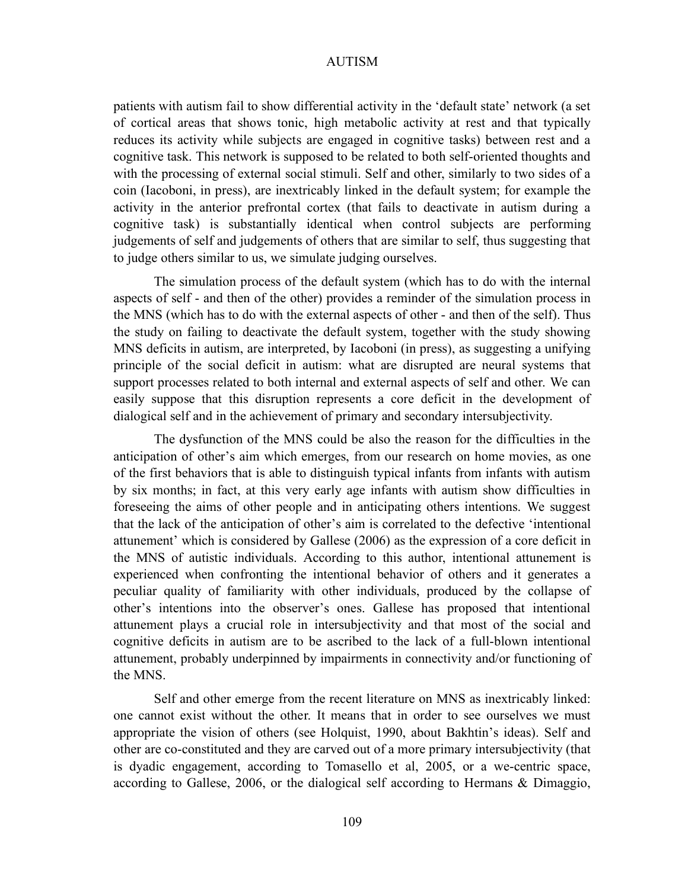patients with autism fail to show differential activity in the 'default state' network (a set of cortical areas that shows tonic, high metabolic activity at rest and that typically reduces its activity while subjects are engaged in cognitive tasks) between rest and a cognitive task. This network is supposed to be related to both self-oriented thoughts and with the processing of external social stimuli. Self and other, similarly to two sides of a coin (Iacoboni, in press), are inextricably linked in the default system; for example the activity in the anterior prefrontal cortex (that fails to deactivate in autism during a cognitive task) is substantially identical when control subjects are performing judgements of self and judgements of others that are similar to self, thus suggesting that to judge others similar to us, we simulate judging ourselves.

The simulation process of the default system (which has to do with the internal aspects of self - and then of the other) provides a reminder of the simulation process in the MNS (which has to do with the external aspects of other - and then of the self). Thus the study on failing to deactivate the default system, together with the study showing MNS deficits in autism, are interpreted, by Iacoboni (in press), as suggesting a unifying principle of the social deficit in autism: what are disrupted are neural systems that support processes related to both internal and external aspects of self and other. We can easily suppose that this disruption represents a core deficit in the development of dialogical self and in the achievement of primary and secondary intersubjectivity.

The dysfunction of the MNS could be also the reason for the difficulties in the anticipation of other's aim which emerges, from our research on home movies, as one of the first behaviors that is able to distinguish typical infants from infants with autism by six months; in fact, at this very early age infants with autism show difficulties in foreseeing the aims of other people and in anticipating others intentions. We suggest that the lack of the anticipation of other's aim is correlated to the defective 'intentional attunement' which is considered by Gallese (2006) as the expression of a core deficit in the MNS of autistic individuals. According to this author, intentional attunement is experienced when confronting the intentional behavior of others and it generates a peculiar quality of familiarity with other individuals, produced by the collapse of other's intentions into the observer's ones. Gallese has proposed that intentional attunement plays a crucial role in intersubjectivity and that most of the social and cognitive deficits in autism are to be ascribed to the lack of a full-blown intentional attunement, probably underpinned by impairments in connectivity and/or functioning of the MNS.

Self and other emerge from the recent literature on MNS as inextricably linked: one cannot exist without the other. It means that in order to see ourselves we must appropriate the vision of others (see Holquist, 1990, about Bakhtin's ideas). Self and other are co-constituted and they are carved out of a more primary intersubjectivity (that is dyadic engagement, according to Tomasello et al, 2005, or a we-centric space, according to Gallese, 2006, or the dialogical self according to Hermans & Dimaggio,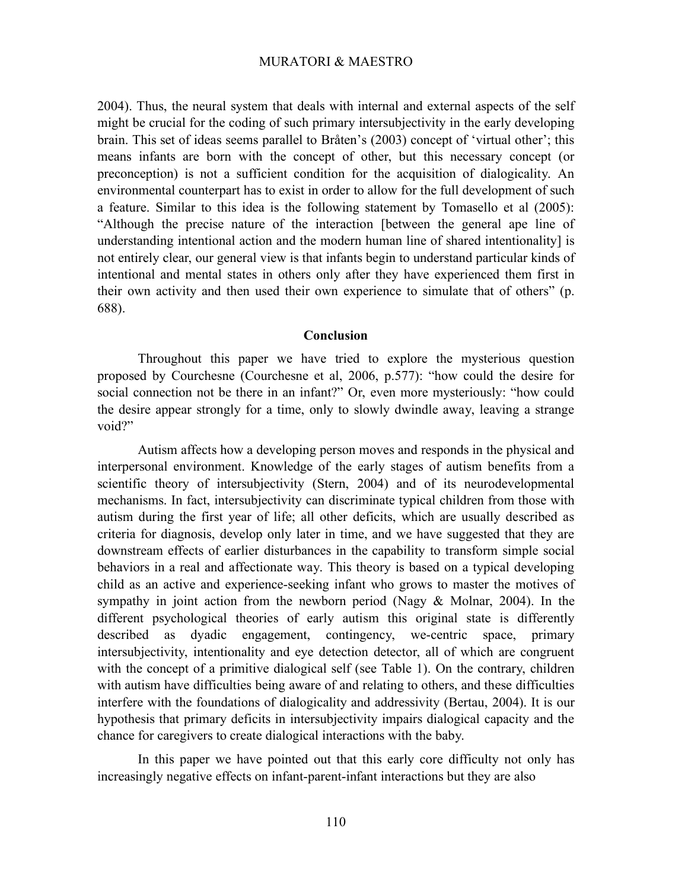2004). Thus, the neural system that deals with internal and external aspects of the self might be crucial for the coding of such primary intersubjectivity in the early developing brain. This set of ideas seems parallel to Bråten's (2003) concept of 'virtual other'; this means infants are born with the concept of other, but this necessary concept (or preconception) is not a sufficient condition for the acquisition of dialogicality. An environmental counterpart has to exist in order to allow for the full development of such a feature. Similar to this idea is the following statement by Tomasello et al (2005): "Although the precise nature of the interaction [between the general ape line of understanding intentional action and the modern human line of shared intentionality] is not entirely clear, our general view is that infants begin to understand particular kinds of intentional and mental states in others only after they have experienced them first in their own activity and then used their own experience to simulate that of others" (p. 688).

#### **Conclusion**

Throughout this paper we have tried to explore the mysterious question proposed by Courchesne (Courchesne et al, 2006, p.577): "how could the desire for social connection not be there in an infant?" Or, even more mysteriously: "how could the desire appear strongly for a time, only to slowly dwindle away, leaving a strange void?"

Autism affects how a developing person moves and responds in the physical and interpersonal environment. Knowledge of the early stages of autism benefits from a scientific theory of intersubjectivity (Stern, 2004) and of its neurodevelopmental mechanisms. In fact, intersubjectivity can discriminate typical children from those with autism during the first year of life; all other deficits, which are usually described as criteria for diagnosis, develop only later in time, and we have suggested that they are downstream effects of earlier disturbances in the capability to transform simple social behaviors in a real and affectionate way. This theory is based on a typical developing child as an active and experience-seeking infant who grows to master the motives of sympathy in joint action from the newborn period (Nagy & Molnar, 2004). In the different psychological theories of early autism this original state is differently described as dyadic engagement, contingency, we-centric space, primary intersubjectivity, intentionality and eye detection detector, all of which are congruent with the concept of a primitive dialogical self (see Table 1). On the contrary, children with autism have difficulties being aware of and relating to others, and these difficulties interfere with the foundations of dialogicality and addressivity (Bertau, 2004). It is our hypothesis that primary deficits in intersubjectivity impairs dialogical capacity and the chance for caregivers to create dialogical interactions with the baby.

In this paper we have pointed out that this early core difficulty not only has increasingly negative effects on infant-parent-infant interactions but they are also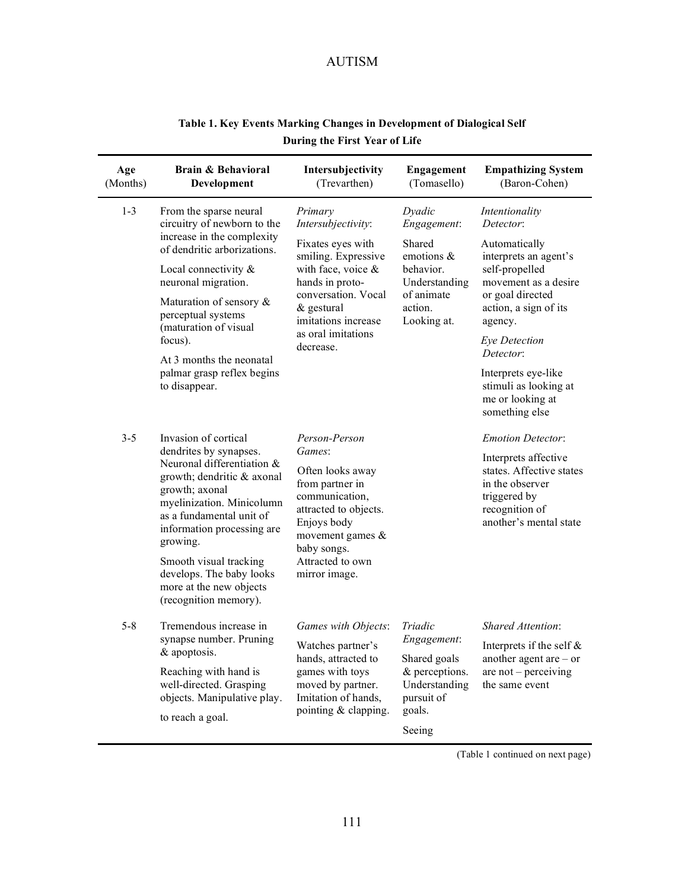| Age<br>(Months) | <b>Brain &amp; Behavioral</b><br>Development                                                                                                                                                                                                                                                                                              | Intersubjectivity<br>(Trevarthen)                                                                                                                                                                                    | <b>Engagement</b><br>(Tomasello)                                                                                    | <b>Empathizing System</b><br>(Baron-Cohen)                                                                                                                                                                                                                                                  |
|-----------------|-------------------------------------------------------------------------------------------------------------------------------------------------------------------------------------------------------------------------------------------------------------------------------------------------------------------------------------------|----------------------------------------------------------------------------------------------------------------------------------------------------------------------------------------------------------------------|---------------------------------------------------------------------------------------------------------------------|---------------------------------------------------------------------------------------------------------------------------------------------------------------------------------------------------------------------------------------------------------------------------------------------|
| $1 - 3$         | From the sparse neural<br>circuitry of newborn to the<br>increase in the complexity<br>of dendritic arborizations.<br>Local connectivity &<br>neuronal migration.<br>Maturation of sensory &<br>perceptual systems<br>(maturation of visual<br>focus).<br>At 3 months the neonatal<br>palmar grasp reflex begins<br>to disappear.         | Primary<br>Intersubjectivity:<br>Fixates eyes with<br>smiling. Expressive<br>with face, voice $\&$<br>hands in proto-<br>conversation. Vocal<br>& gestural<br>imitations increase<br>as oral imitations<br>decrease. | Dyadic<br>Engagement:<br>Shared<br>emotions &<br>behavior.<br>Understanding<br>of animate<br>action.<br>Looking at. | Intentionality<br>Detector:<br>Automatically<br>interprets an agent's<br>self-propelled<br>movement as a desire<br>or goal directed<br>action, a sign of its<br>agency.<br>Eye Detection<br>Detector:<br>Interprets eye-like<br>stimuli as looking at<br>me or looking at<br>something else |
| $3 - 5$         | Invasion of cortical<br>dendrites by synapses.<br>Neuronal differentiation &<br>growth; dendritic & axonal<br>growth; axonal<br>myelinization. Minicolumn<br>as a fundamental unit of<br>information processing are<br>growing.<br>Smooth visual tracking<br>develops. The baby looks<br>more at the new objects<br>(recognition memory). | Person-Person<br>Games:<br>Often looks away<br>from partner in<br>communication,<br>attracted to objects.<br>Enjoys body<br>movement games &<br>baby songs.<br>Attracted to own<br>mirror image.                     |                                                                                                                     | <b>Emotion Detector:</b><br>Interprets affective<br>states. Affective states<br>in the observer<br>triggered by<br>recognition of<br>another's mental state                                                                                                                                 |
| $5 - 8$         | Tremendous increase in<br>synapse number. Pruning<br>& apoptosis.<br>Reaching with hand is<br>well-directed. Grasping<br>objects. Manipulative play.<br>to reach a goal.                                                                                                                                                                  | Games with Objects:<br>Watches partner's<br>hands, attracted to<br>games with toys<br>moved by partner.<br>Imitation of hands,<br>pointing & clapping.                                                               | Triadic<br>Engagement:<br>Shared goals<br>& perceptions.<br>Understanding<br>pursuit of<br>goals.<br>Seeing         | <b>Shared Attention:</b><br>Interprets if the self $&$<br>another agent are $-$ or<br>are not – perceiving<br>the same event                                                                                                                                                                |

# **Table 1. Key Events Marking Changes in Development of Dialogical Self During the First Year of Life**

(Table 1 continued on next page)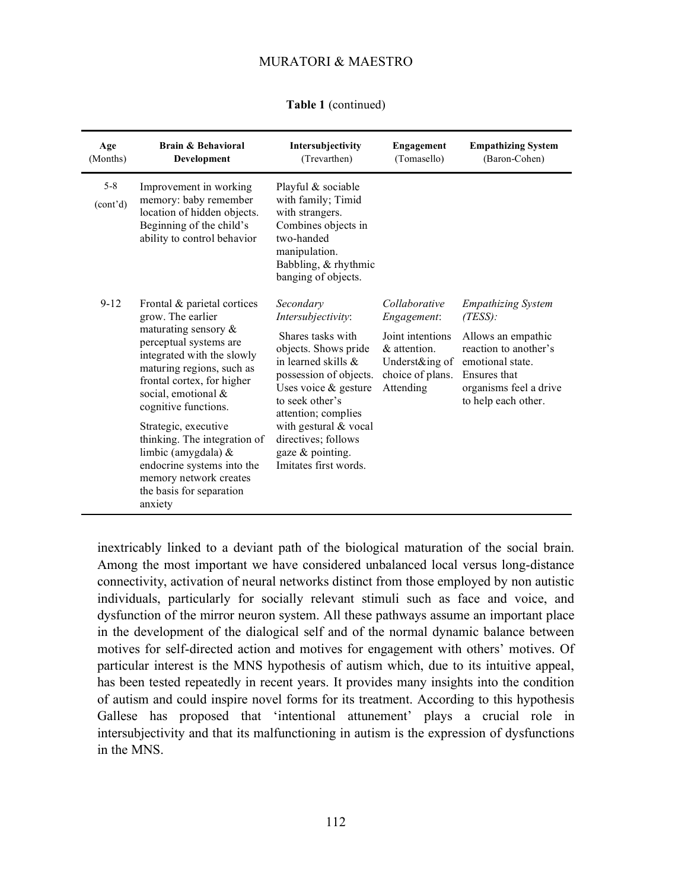|  | <b>Table 1</b> (continued) |
|--|----------------------------|
|--|----------------------------|

| Age<br>(Months)                  | Brain & Behavioral<br>Development                                                                                                                                                                                                                                                                                                                                                                                           | Intersubjectivity<br>(Trevarthen)                                                                                                                                                                                                                                                                 | Engagement<br>(Tomasello)                                                                                           | <b>Empathizing System</b><br>(Baron-Cohen)                                                                                                                                  |
|----------------------------------|-----------------------------------------------------------------------------------------------------------------------------------------------------------------------------------------------------------------------------------------------------------------------------------------------------------------------------------------------------------------------------------------------------------------------------|---------------------------------------------------------------------------------------------------------------------------------------------------------------------------------------------------------------------------------------------------------------------------------------------------|---------------------------------------------------------------------------------------------------------------------|-----------------------------------------------------------------------------------------------------------------------------------------------------------------------------|
| $5 - 8$<br>(cont <sup>2</sup> d) | Improvement in working<br>memory: baby remember<br>location of hidden objects.<br>Beginning of the child's<br>ability to control behavior                                                                                                                                                                                                                                                                                   | Playful & sociable<br>with family; Timid<br>with strangers.<br>Combines objects in<br>two-handed<br>manipulation.<br>Babbling, & rhythmic<br>banging of objects.                                                                                                                                  |                                                                                                                     |                                                                                                                                                                             |
| $9 - 12$                         | Frontal & parietal cortices<br>grow. The earlier<br>maturating sensory $\&$<br>perceptual systems are<br>integrated with the slowly<br>maturing regions, such as<br>frontal cortex, for higher<br>social, emotional &<br>cognitive functions.<br>Strategic, executive<br>thinking. The integration of<br>limbic (amygdala) &<br>endocrine systems into the<br>memory network creates<br>the basis for separation<br>anxiety | Secondary<br>Intersubjectivity:<br>Shares tasks with<br>objects. Shows pride<br>in learned skills $\&$<br>possession of objects.<br>Uses voice $&$ gesture<br>to seek other's<br>attention; complies<br>with gestural & vocal<br>directives; follows<br>gaze & pointing.<br>Imitates first words. | Collaborative<br>Engagement:<br>Joint intentions<br>& attention.<br>Underst&ing of<br>choice of plans.<br>Attending | <b>Empathizing System</b><br>$(TESS)$ :<br>Allows an empathic<br>reaction to another's<br>emotional state.<br>Ensures that<br>organisms feel a drive<br>to help each other. |

inextricably linked to a deviant path of the biological maturation of the social brain. Among the most important we have considered unbalanced local versus long-distance connectivity, activation of neural networks distinct from those employed by non autistic individuals, particularly for socially relevant stimuli such as face and voice, and dysfunction of the mirror neuron system. All these pathways assume an important place in the development of the dialogical self and of the normal dynamic balance between motives for self-directed action and motives for engagement with others' motives. Of particular interest is the MNS hypothesis of autism which, due to its intuitive appeal, has been tested repeatedly in recent years. It provides many insights into the condition of autism and could inspire novel forms for its treatment. According to this hypothesis Gallese has proposed that 'intentional attunement' plays a crucial role in intersubjectivity and that its malfunctioning in autism is the expression of dysfunctions in the MNS.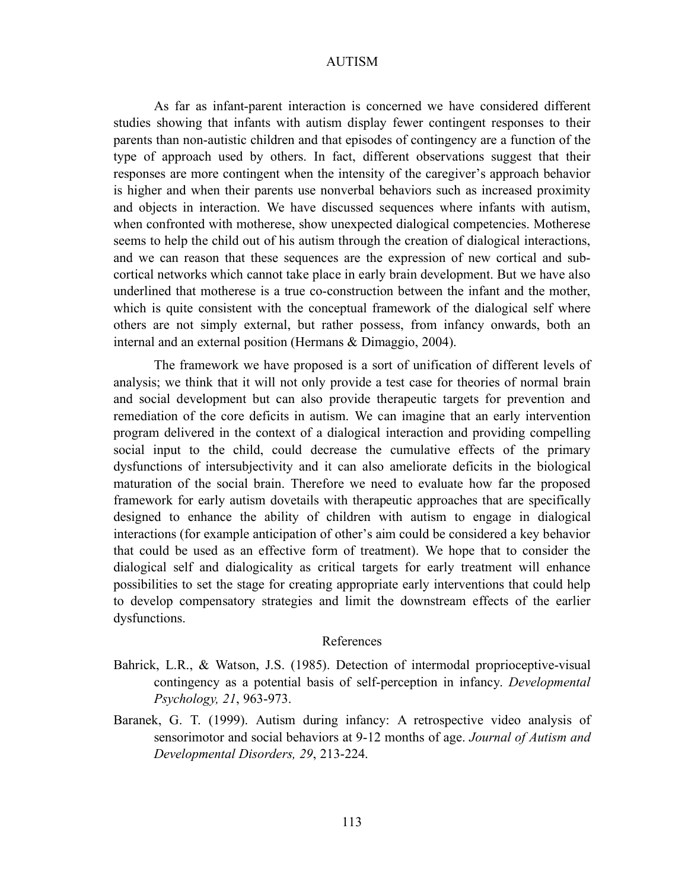As far as infant-parent interaction is concerned we have considered different studies showing that infants with autism display fewer contingent responses to their parents than non-autistic children and that episodes of contingency are a function of the type of approach used by others. In fact, different observations suggest that their responses are more contingent when the intensity of the caregiver's approach behavior is higher and when their parents use nonverbal behaviors such as increased proximity and objects in interaction. We have discussed sequences where infants with autism, when confronted with motherese, show unexpected dialogical competencies. Motherese seems to help the child out of his autism through the creation of dialogical interactions, and we can reason that these sequences are the expression of new cortical and subcortical networks which cannot take place in early brain development. But we have also underlined that motherese is a true co-construction between the infant and the mother, which is quite consistent with the conceptual framework of the dialogical self where others are not simply external, but rather possess, from infancy onwards, both an internal and an external position (Hermans & Dimaggio, 2004).

The framework we have proposed is a sort of unification of different levels of analysis; we think that it will not only provide a test case for theories of normal brain and social development but can also provide therapeutic targets for prevention and remediation of the core deficits in autism. We can imagine that an early intervention program delivered in the context of a dialogical interaction and providing compelling social input to the child, could decrease the cumulative effects of the primary dysfunctions of intersubjectivity and it can also ameliorate deficits in the biological maturation of the social brain. Therefore we need to evaluate how far the proposed framework for early autism dovetails with therapeutic approaches that are specifically designed to enhance the ability of children with autism to engage in dialogical interactions (for example anticipation of other's aim could be considered a key behavior that could be used as an effective form of treatment). We hope that to consider the dialogical self and dialogicality as critical targets for early treatment will enhance possibilities to set the stage for creating appropriate early interventions that could help to develop compensatory strategies and limit the downstream effects of the earlier dysfunctions.

### References

- Bahrick, L.R., & Watson, J.S. (1985). Detection of intermodal proprioceptive-visual contingency as a potential basis of self-perception in infancy. *Developmental Psychology, 21*, 963-973.
- Baranek, G. T. (1999). Autism during infancy: A retrospective video analysis of sensorimotor and social behaviors at 9-12 months of age. *Journal of Autism and Developmental Disorders, 29*, 213-224.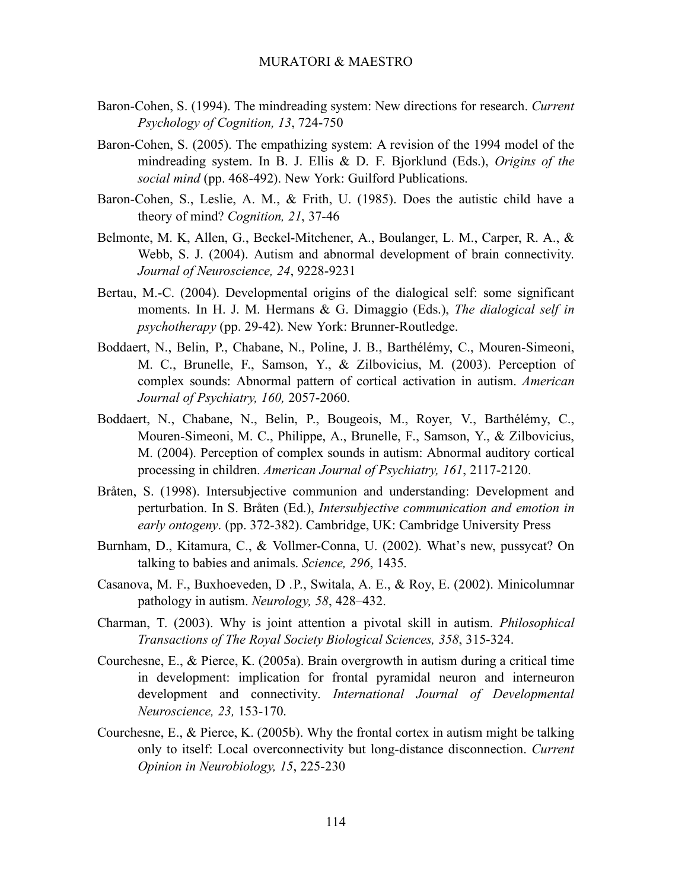- Baron-Cohen, S. (1994). The mindreading system: New directions for research. *Current Psychology of Cognition, 13*, 724-750
- Baron-Cohen, S. (2005). The empathizing system: A revision of the 1994 model of the mindreading system. In B. J. Ellis & D. F. Bjorklund (Eds.), *Origins of the social mind* (pp. 468-492). New York: Guilford Publications.
- Baron-Cohen, S., Leslie, A. M., & Frith, U. (1985). Does the autistic child have a theory of mind? *Cognition, 21*, 37-46
- Belmonte, M. K, Allen, G., Beckel-Mitchener, A., Boulanger, L. M., Carper, R. A., & Webb, S. J. (2004). Autism and abnormal development of brain connectivity. *Journal of Neuroscience, 24*, 9228-9231
- Bertau, M.-C. (2004). Developmental origins of the dialogical self: some significant moments. In H. J. M. Hermans & G. Dimaggio (Eds.), *The dialogical self in psychotherapy* (pp. 29-42). New York: Brunner-Routledge.
- Boddaert, N., Belin, P., Chabane, N., Poline, J. B., Barthélémy, C., Mouren-Simeoni, M. C., Brunelle, F., Samson, Y., & Zilbovicius, M. (2003). Perception of complex sounds: Abnormal pattern of cortical activation in autism. *American Journal of Psychiatry, 160,* 2057-2060.
- Boddaert, N., Chabane, N., Belin, P., Bougeois, M., Royer, V., Barthélémy, C., Mouren-Simeoni, M. C., Philippe, A., Brunelle, F., Samson, Y., & Zilbovicius, M. (2004). Perception of complex sounds in autism: Abnormal auditory cortical processing in children. *American Journal of Psychiatry, 161*, 2117-2120.
- Bråten, S. (1998). Intersubjective communion and understanding: Development and perturbation. In S. Bråten (Ed.), *Intersubjective communication and emotion in early ontogeny*. (pp. 372-382). Cambridge, UK: Cambridge University Press
- Burnham, D., Kitamura, C., & Vollmer-Conna, U. (2002). What's new, pussycat? On talking to babies and animals. *Science, 296*, 1435.
- Casanova, M. F., Buxhoeveden, D .P., Switala, A. E., & Roy, E. (2002). Minicolumnar pathology in autism. *Neurology, 58*, 428–432.
- Charman, T. (2003). Why is joint attention a pivotal skill in autism. *Philosophical Transactions of The Royal Society Biological Sciences, 358*, 315-324.
- Courchesne, E., & Pierce, K. (2005a). Brain overgrowth in autism during a critical time in development: implication for frontal pyramidal neuron and interneuron development and connectivity. *International Journal of Developmental Neuroscience, 23,* 153-170.
- Courchesne, E., & Pierce, K. (2005b). Why the frontal cortex in autism might be talking only to itself: Local overconnectivity but long-distance disconnection. *Current Opinion in Neurobiology, 15*, 225-230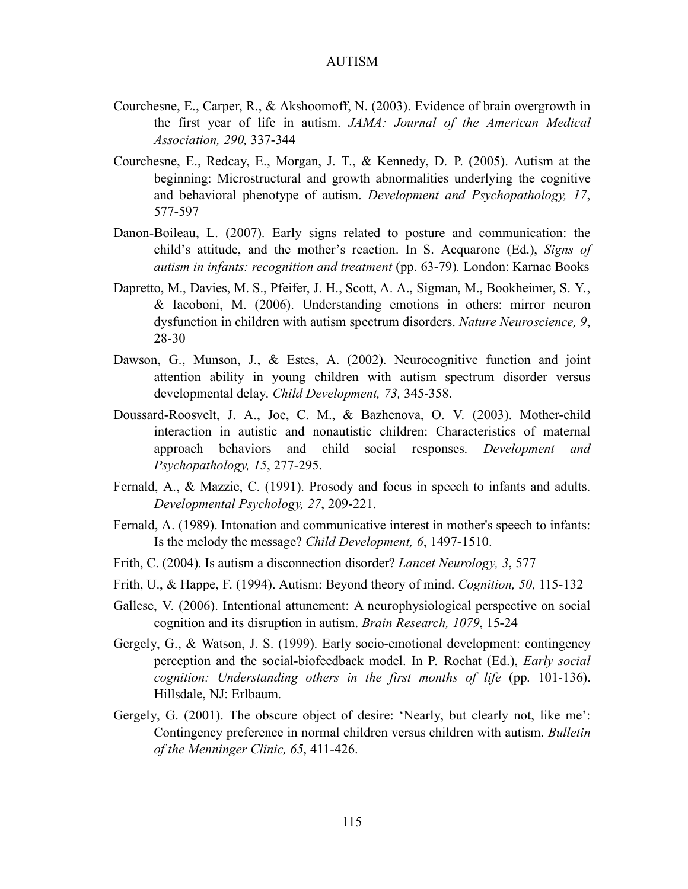- Courchesne, E., Carper, R., & Akshoomoff, N. (2003). Evidence of brain overgrowth in the first year of life in autism. *JAMA: Journal of the American Medical Association, 290,* 337-344
- Courchesne, E., Redcay, E., Morgan, J. T., & Kennedy, D. P. (2005). Autism at the beginning: Microstructural and growth abnormalities underlying the cognitive and behavioral phenotype of autism. *Development and Psychopathology, 17*, 577-597
- Danon-Boileau, L. (2007). Early signs related to posture and communication: the child's attitude, and the mother's reaction. In S. Acquarone (Ed.), *Signs of autism in infants: recognition and treatment* (pp. 63-79)*.* London: Karnac Books
- Dapretto, M., Davies, M. S., Pfeifer, J. H., Scott, A. A., Sigman, M., Bookheimer, S. Y., & Iacoboni, M. (2006). Understanding emotions in others: mirror neuron dysfunction in children with autism spectrum disorders. *Nature Neuroscience, 9*, 28-30
- Dawson, G., Munson, J., & Estes, A. (2002). Neurocognitive function and joint attention ability in young children with autism spectrum disorder versus developmental delay. *Child Development, 73,* 345-358.
- Doussard-Roosvelt, J. A., Joe, C. M., & Bazhenova, O. V. (2003). Mother-child interaction in autistic and nonautistic children: Characteristics of maternal approach behaviors and child social responses. *Development and Psychopathology, 15*, 277-295.
- Fernald, A., & Mazzie, C. (1991). Prosody and focus in speech to infants and adults. *Developmental Psychology, 27*, 209-221.
- Fernald, A. (1989). Intonation and communicative interest in mother's speech to infants: Is the melody the message? *Child Development, 6*, 1497-1510.
- Frith, C. (2004). Is autism a disconnection disorder? *Lancet Neurology, 3*, 577
- Frith, U., & Happe, F. (1994). Autism: Beyond theory of mind. *Cognition, 50,* 115-132
- Gallese, V. (2006). Intentional attunement: A neurophysiological perspective on social cognition and its disruption in autism. *Brain Research, 1079*, 15-24
- Gergely, G., & Watson, J. S. (1999). Early socio-emotional development: contingency perception and the social-biofeedback model. In P. Rochat (Ed.), *Early social cognition: Understanding others in the first months of life* (pp. 101-136). Hillsdale, NJ: Erlbaum.
- Gergely, G. (2001). The obscure object of desire: 'Nearly, but clearly not, like me': Contingency preference in normal children versus children with autism. *Bulletin of the Menninger Clinic, 65*, 411-426.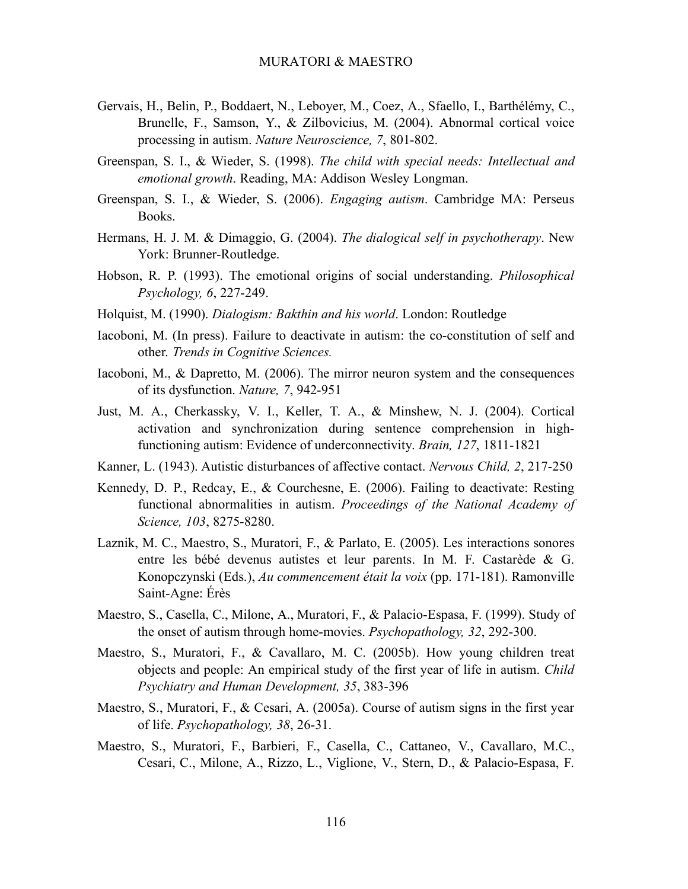- Gervais, H., Belin, P., Boddaert, N., Leboyer, M., Coez, A., Sfaello, I., Barthélémy, C., Brunelle, F., Samson, Y., & Zilbovicius, M. (2004). Abnormal cortical voice processing in autism. *Nature Neuroscience, 7*, 801-802.
- Greenspan, S. I., & Wieder, S. (1998). *The child with special needs: Intellectual and emotional growth*. Reading, MA: Addison Wesley Longman.
- Greenspan, S. I., & Wieder, S. (2006). *Engaging autism*. Cambridge MA: Perseus Books.
- Hermans, H. J. M. & Dimaggio, G. (2004). *The dialogical self in psychotherapy*. New York: Brunner-Routledge.
- Hobson, R. P. (1993). The emotional origins of social understanding. *Philosophical Psychology, 6*, 227-249.
- Holquist, M. (1990). *Dialogism: Bakthin and his world*. London: Routledge
- Iacoboni, M. (In press). Failure to deactivate in autism: the co-constitution of self and other. *Trends in Cognitive Sciences.*
- Iacoboni, M., & Dapretto, M. (2006). The mirror neuron system and the consequences of its dysfunction. *Nature, 7*, 942-951
- Just, M. A., Cherkassky, V. I., Keller, T. A., & Minshew, N. J. (2004). Cortical activation and synchronization during sentence comprehension in highfunctioning autism: Evidence of underconnectivity. *Brain, 127*, 1811-1821
- Kanner, L. (1943). Autistic disturbances of affective contact. *Nervous Child, 2*, 217-250
- Kennedy, D. P., Redcay, E., & Courchesne, E. (2006). Failing to deactivate: Resting functional abnormalities in autism. *Proceedings of the National Academy of Science, 103*, 8275-8280.
- Laznik, M. C., Maestro, S., Muratori, F., & Parlato, E. (2005). Les interactions sonores entre les bébé devenus autistes et leur parents. In M. F. Castarède & G. Konopczynski (Eds.), *Au commencement était la voix* (pp. 171-181). Ramonville Saint-Agne: Érès
- Maestro, S., Casella, C., Milone, A., Muratori, F., & Palacio-Espasa, F. (1999). Study of the onset of autism through home-movies. *Psychopathology, 32*, 292-300.
- Maestro, S., Muratori, F., & Cavallaro, M. C. (2005b). How young children treat objects and people: An empirical study of the first year of life in autism. *Child Psychiatry and Human Development, 35*, 383-396
- Maestro, S., Muratori, F., & Cesari, A. (2005a). Course of autism signs in the first year of life. *Psychopathology, 38*, 26-31.
- Maestro, S., Muratori, F., Barbieri, F., Casella, C., Cattaneo, V., Cavallaro, M.C., Cesari, C., Milone, A., Rizzo, L., Viglione, V., Stern, D., & Palacio-Espasa, F.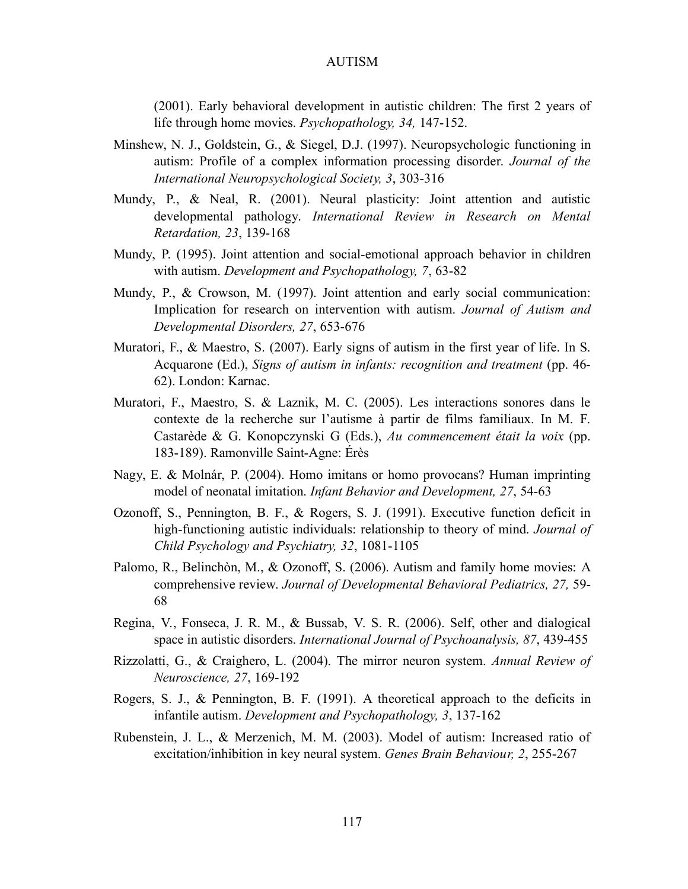(2001). Early behavioral development in autistic children: The first 2 years of life through home movies. *Psychopathology, 34,* 147-152.

- Minshew, N. J., Goldstein, G., & Siegel, D.J. (1997). Neuropsychologic functioning in autism: Profile of a complex information processing disorder. *Journal of the International Neuropsychological Society, 3*, 303-316
- Mundy, P., & Neal, R. (2001). Neural plasticity: Joint attention and autistic developmental pathology. *International Review in Research on Mental Retardation, 23*, 139-168
- Mundy, P. (1995). Joint attention and social-emotional approach behavior in children with autism. *Development and Psychopathology, 7*, 63-82
- Mundy, P., & Crowson, M. (1997). Joint attention and early social communication: Implication for research on intervention with autism. *Journal of Autism and Developmental Disorders, 27*, 653-676
- Muratori, F., & Maestro, S. (2007). Early signs of autism in the first year of life. In S. Acquarone (Ed.), *Signs of autism in infants: recognition and treatment* (pp. 46- 62). London: Karnac.
- Muratori, F., Maestro, S. & Laznik, M. C. (2005). Les interactions sonores dans le contexte de la recherche sur l'autisme à partir de films familiaux. In M. F. Castarède & G. Konopczynski G (Eds.), *Au commencement était la voix* (pp. 183-189). Ramonville Saint-Agne: Érès
- Nagy, E. & Molnár, P. (2004). Homo imitans or homo provocans? Human imprinting model of neonatal imitation. *Infant Behavior and Development, 27*, 54-63
- Ozonoff, S., Pennington, B. F., & Rogers, S. J. (1991). Executive function deficit in high-functioning autistic individuals: relationship to theory of mind. *Journal of Child Psychology and Psychiatry, 32*, 1081-1105
- Palomo, R., Belinchòn, M., & Ozonoff, S. (2006). Autism and family home movies: A comprehensive review. *Journal of Developmental Behavioral Pediatrics, 27,* 59- 68
- Regina, V., Fonseca, J. R. M., & Bussab, V. S. R. (2006). Self, other and dialogical space in autistic disorders. *International Journal of Psychoanalysis, 87*, 439-455
- Rizzolatti, G., & Craighero, L. (2004). The mirror neuron system. *Annual Review of Neuroscience, 27*, 169-192
- Rogers, S. J., & Pennington, B. F. (1991). A theoretical approach to the deficits in infantile autism. *Development and Psychopathology, 3*, 137-162
- Rubenstein, J. L., & Merzenich, M. M. (2003). Model of autism: Increased ratio of excitation/inhibition in key neural system. *Genes Brain Behaviour, 2*, 255-267